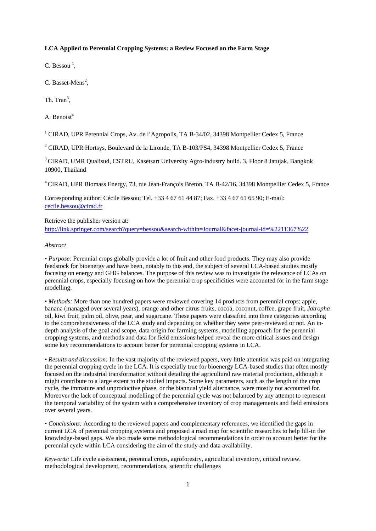## **LCA Applied to Perennial Cropping Systems: a Review Focused on the Farm Stage**

C. Bessou<sup>1</sup>,

 $C.$  Basset-Mens<sup>2</sup>,

Th. Tran $3$ ,

A. Benoist<sup>4</sup>

<sup>1</sup> CIRAD, UPR Perennial Crops, Av. de l'Agropolis, TA B-34/02, 34398 Montpellier Cedex 5, France

<sup>2</sup> CIRAD, UPR Hortsys, Boulevard de la Lironde, TA B-103/PS4, 34398 Montpellier Cedex 5, France

3 CIRAD, UMR Qualisud, CSTRU, Kasetsart University Agro-industry build. 3, Floor 8 Jatujak, Bangkok 10900, Thailand

4 CIRAD, UPR Biomass Energy, 73, rue Jean-François Breton, TA B-42/16, 34398 Montpellier Cedex 5, France

Corresponding author: Cécile Bessou; Tel. +33 4 67 61 44 87; Fax. +33 4 67 61 65 90; E-mail: [cecile.bessou@cirad.fr](mailto:cecile.bessou@cirad.fr)

Retrieve the publisher version at:

http://link.springer.com/search?query=bessou&search-within=Journal&facet-journal-id=%2211367%22

## *Abstract*

*• Purpose:* Perennial crops globally provide a lot of fruit and other food products. They may also provide feedstock for bioenergy and have been, notably to this end, the subject of several LCA-based studies mostly focusing on energy and GHG balances. The purpose of this review was to investigate the relevance of LCAs on perennial crops, especially focusing on how the perennial crop specificities were accounted for in the farm stage modelling.

• *Methods:* More than one hundred papers were reviewed covering 14 products from perennial crops: apple, banana (managed over several years), orange and other citrus fruits, cocoa, coconut, coffee, grape fruit, *Jatropha*  oil, kiwi fruit, palm oil, olive, pear, and sugarcane. These papers were classified into three categories according to the comprehensiveness of the LCA study and depending on whether they were peer-reviewed or not. An indepth analysis of the goal and scope, data origin for farming systems, modelling approach for the perennial cropping systems, and methods and data for field emissions helped reveal the more critical issues and design some key recommendations to account better for perennial cropping systems in LCA.

*• Results and discussion:* In the vast majority of the reviewed papers, very little attention was paid on integrating the perennial cropping cycle in the LCA. It is especially true for bioenergy LCA-based studies that often mostly focused on the industrial transformation without detailing the agricultural raw material production, although it might contribute to a large extent to the studied impacts. Some key parameters, such as the length of the crop cycle, the immature and unproductive phase, or the biannual yield alternance, were mostly not accounted for. Moreover the lack of conceptual modelling of the perennial cycle was not balanced by any attempt to represent the temporal variability of the system with a comprehensive inventory of crop managements and field emissions over several years.

*• Conclusions:* According to the reviewed papers and complementary references, we identified the gaps in current LCA of perennial cropping systems and proposed a road map for scientific researches to help fill-in the knowledge-based gaps. We also made some methodological recommendations in order to account better for the perennial cycle within LCA considering the aim of the study and data availability.

*Keywords:* Life cycle assessment, perennial crops, agroforestry, agricultural inventory, critical review, methodological development, recommendations, scientific challenges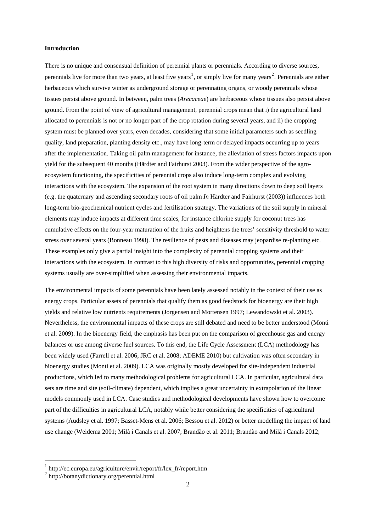## **Introduction**

There is no unique and consensual definition of perennial plants or perennials. According to diverse sources, perennials live for more than two years, at least five years<sup>[1](#page-1-0)</sup>, or simply live for many years<sup>[2](#page-1-1)</sup>. Perennials are either herbaceous which survive winter as underground storage or perennating organs, or woody perennials whose tissues persist above ground. In between, palm trees (*Arecaceae*) are herbaceous whose tissues also persist above ground. From the point of view of agricultural management, perennial crops mean that i) the agricultural land allocated to perennials is not or no longer part of the crop rotation during several years, and ii) the cropping system must be planned over years, even decades, considering that some initial parameters such as seedling quality, land preparation, planting density etc., may have long-term or delayed impacts occurring up to years after the implementation. Taking oil palm management for instance, the alleviation of stress factors impacts upon yield for the subsequent 40 months (Härdter and Fairhurst 2003). From the wider perspective of the agroecosystem functioning, the specificities of perennial crops also induce long-term complex and evolving interactions with the ecosystem. The expansion of the root system in many directions down to deep soil layers (e.g. the quaternary and ascending secondary roots of oil palm *In* Härdter and Fairhurst (2003)) influences both long-term bio-geochemical nutrient cycles and fertilisation strategy. The variations of the soil supply in mineral elements may induce impacts at different time scales, for instance chlorine supply for coconut trees has cumulative effects on the four-year maturation of the fruits and heightens the trees' sensitivity threshold to water stress over several years (Bonneau 1998). The resilience of pests and diseases may jeopardise re-planting etc. These examples only give a partial insight into the complexity of perennial cropping systems and their interactions with the ecosystem. In contrast to this high diversity of risks and opportunities, perennial cropping systems usually are over-simplified when assessing their environmental impacts.

The environmental impacts of some perennials have been lately assessed notably in the context of their use as energy crops. Particular assets of perennials that qualify them as good feedstock for bioenergy are their high yields and relative low nutrients requirements (Jorgensen and Mortensen 1997; Lewandowski et al. 2003). Nevertheless, the environmental impacts of these crops are still debated and need to be better understood (Monti et al. 2009). In the bioenergy field, the emphasis has been put on the comparison of greenhouse gas and energy balances or use among diverse fuel sources. To this end, the Life Cycle Assessment (LCA) methodology has been widely used (Farrell et al. 2006; JRC et al. 2008; ADEME 2010) but cultivation was often secondary in bioenergy studies (Monti et al. 2009). LCA was originally mostly developed for site-independent industrial productions, which led to many methodological problems for agricultural LCA. In particular, agricultural data sets are time and site (soil-climate) dependent, which implies a great uncertainty in extrapolation of the linear models commonly used in LCA. Case studies and methodological developments have shown how to overcome part of the difficulties in agricultural LCA, notably while better considering the specificities of agricultural systems (Audsley et al. 1997; Basset-Mens et al. 2006; Bessou et al. 2012) or better modelling the impact of land use change (Weidema 2001; Milà i Canals et al. 2007; Brandão et al. 2011; Brandão and Milà i Canals 2012;

1

<span id="page-1-0"></span><sup>1</sup> http://ec.europa.eu/agriculture/envir/report/fr/lex\_fr/report.htm

<span id="page-1-1"></span><sup>2</sup> http://botanydictionary.org/perennial.html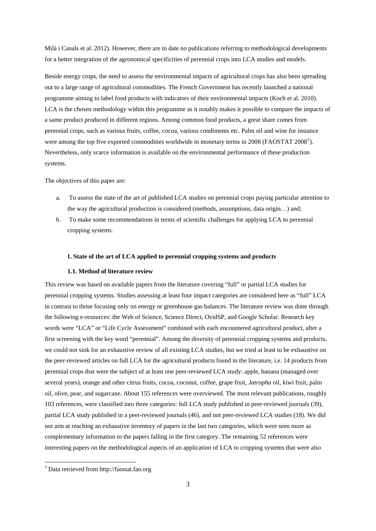Milà i Canals et al. 2012). However, there are to date no publications referring to methodological developments for a better integration of the agronomical specificities of perennial crops into LCA studies and models.

Beside energy crops, the need to assess the environmental impacts of agricultural crops has also been spreading out to a large range of agricultural commodities. The French Government has recently launched a national programme aiming to label food products with indicators of their environmental impacts (Koch et al. 2010). LCA is the chosen methodology within this programme as it notably makes it possible to compare the impacts of a same product produced in different regions. Among common food products, a great share comes from perennial crops, such as various fruits, coffee, cocoa, various condiments etc. Palm oil and wine for instance were among the top five exported commodities worldwide in monetary terms in 2008 (FAOSTAT 2008<sup>[3](#page-2-0)</sup>). Nevertheless, only scarce information is available on the environmental performance of these production systems.

The objectives of this paper are:

- a. To assess the state of the art of published LCA studies on perennial crops paying particular attention to the way the agricultural production is considered (methods, assumptions, data origin…) and;
- b. To make some recommendations in terms of scientific challenges for applying LCA to perennial cropping systems.

#### **1. State of the art of LCA applied to perennial cropping systems and products**

#### **1.1. Method of literature review**

This review was based on available papers from the literature covering "full" or partial LCA studies for perennial cropping systems. Studies assessing at least four impact categories are considered here as "full" LCA in contrast to those focusing only on energy or greenhouse gas balances. The literature review was done through the following e-resources: the Web of Science, Science Direct, OvidSP, and Google Scholar. Research key words were "LCA" or "Life Cycle Assessment" combined with each encountered agricultural product, after a first screening with the key word "perennial". Among the diversity of perennial cropping systems and products, we could not sink for an exhaustive review of all existing LCA studies, but we tried at least to be exhaustive on the peer-reviewed articles on full LCA for the agricultural products found in the literature, i.e. 14 products from perennial crops that were the subject of at least one peer-reviewed LCA study: apple, banana (managed over several years), orange and other citrus fruits, cocoa, coconut, coffee, grape fruit, *Jatropha* oil, kiwi fruit, palm oil, olive, pear, and sugarcane. About 155 references were overviewed. The most relevant publications, roughly 103 references, were classified into three categories: full LCA study published in peer-reviewed journals (39), partial LCA study published in a peer-reviewed journals (46), and not peer-reviewed LCA studies (18). We did not aim at reaching an exhaustive inventory of papers in the last two categories, which were seen more as complementary information to the papers falling in the first category. The remaining 52 references were interesting papers on the methodological aspects of an application of LCA to cropping systems that were also

1

<span id="page-2-0"></span><sup>3</sup> Data retrieved from http://faostat.fao.org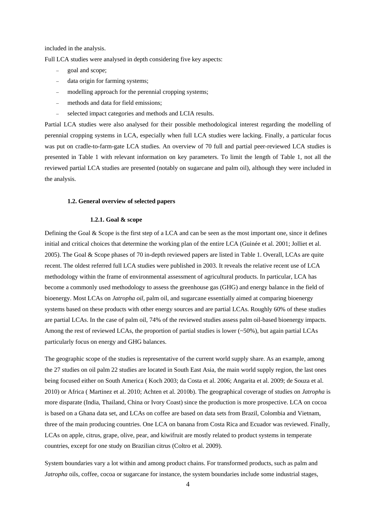included in the analysis.

Full LCA studies were analysed in depth considering five key aspects:

- − goal and scope;
- data origin for farming systems;
- modelling approach for the perennial cropping systems;
- methods and data for field emissions:
- − selected impact categories and methods and LCIA results.

Partial LCA studies were also analysed for their possible methodological interest regarding the modelling of perennial cropping systems in LCA, especially when full LCA studies were lacking. Finally, a particular focus was put on cradle-to-farm-gate LCA studies. An overview of 70 full and partial peer-reviewed LCA studies is presented in Table 1 with relevant information on key parameters. To limit the length of Table 1, not all the reviewed partial LCA studies are presented (notably on sugarcane and palm oil), although they were included in the analysis.

#### **1.2. General overview of selected papers**

## **1.2.1. Goal & scope**

Defining the Goal  $\&$  Scope is the first step of a LCA and can be seen as the most important one, since it defines initial and critical choices that determine the working plan of the entire LCA (Guinée et al. 2001; Jolliet et al. 2005). The Goal & Scope phases of 70 in-depth reviewed papers are listed in Table 1. Overall, LCAs are quite recent. The oldest referred full LCA studies were published in 2003. It reveals the relative recent use of LCA methodology within the frame of environmental assessment of agricultural products. In particular, LCA has become a commonly used methodology to assess the greenhouse gas (GHG) and energy balance in the field of bioenergy. Most LCAs on *Jatropha oil,* palm oil, and sugarcane essentially aimed at comparing bioenergy systems based on these products with other energy sources and are partial LCAs. Roughly 60% of these studies are partial LCAs. In the case of palm oil, 74% of the reviewed studies assess palm oil-based bioenergy impacts. Among the rest of reviewed LCAs, the proportion of partial studies is lower  $(\sim 50\%)$ , but again partial LCAs particularly focus on energy and GHG balances.

The geographic scope of the studies is representative of the current world supply share. As an example, among the 27 studies on oil palm 22 studies are located in South East Asia, the main world supply region, the last ones being focused either on South America ( Koch 2003; da Costa et al. 2006; Angarita et al. 2009; de Souza et al. 2010) or Africa ( Martinez et al. 2010; Achten et al. 2010b). The geographical coverage of studies on *Jatropha* is more disparate (India, Thailand, China or Ivory Coast) since the production is more prospective. LCA on cocoa is based on a Ghana data set, and LCAs on coffee are based on data sets from Brazil, Colombia and Vietnam, three of the main producing countries. One LCA on banana from Costa Rica and Ecuador was reviewed. Finally, LCAs on apple, citrus, grape, olive, pear, and kiwifruit are mostly related to product systems in temperate countries, except for one study on Brazilian citrus (Coltro et al. 2009).

System boundaries vary a lot within and among product chains. For transformed products, such as palm and *Jatropha* oils, coffee, cocoa or sugarcane for instance, the system boundaries include some industrial stages,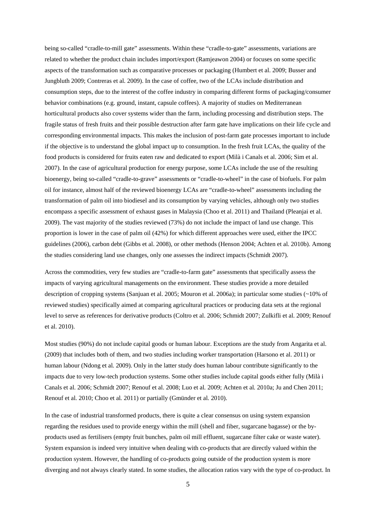being so-called "cradle-to-mill gate" assessments. Within these "cradle-to-gate" assessments, variations are related to whether the product chain includes import/export (Ramjeawon 2004) or focuses on some specific aspects of the transformation such as comparative processes or packaging (Humbert et al. 2009; Busser and Jungbluth 2009; Contreras et al. 2009). In the case of coffee, two of the LCAs include distribution and consumption steps, due to the interest of the coffee industry in comparing different forms of packaging/consumer behavior combinations (e.g. ground, instant, capsule coffees). A majority of studies on Mediterranean horticultural products also cover systems wider than the farm, including processing and distribution steps. The fragile status of fresh fruits and their possible destruction after farm gate have implications on their life cycle and corresponding environmental impacts. This makes the inclusion of post-farm gate processes important to include if the objective is to understand the global impact up to consumption. In the fresh fruit LCAs, the quality of the food products is considered for fruits eaten raw and dedicated to export (Milà i Canals et al. 2006; Sim et al. 2007). In the case of agricultural production for energy purpose, some LCAs include the use of the resulting bioenergy, being so-called "cradle-to-grave" assessments or "cradle-to-wheel" in the case of biofuels. For palm oil for instance, almost half of the reviewed bioenergy LCAs are "cradle-to-wheel" assessments including the transformation of palm oil into biodiesel and its consumption by varying vehicles, although only two studies encompass a specific assessment of exhaust gases in Malaysia (Choo et al. 2011) and Thailand (Pleanjai et al. 2009). The vast majority of the studies reviewed (73%) do not include the impact of land use change. This proportion is lower in the case of palm oil (42%) for which different approaches were used, either the IPCC guidelines (2006), carbon debt (Gibbs et al. 2008), or other methods (Henson 2004; Achten et al. 2010b). Among the studies considering land use changes, only one assesses the indirect impacts (Schmidt 2007).

Across the commodities, very few studies are "cradle-to-farm gate" assessments that specifically assess the impacts of varying agricultural managements on the environment. These studies provide a more detailed description of cropping systems (Sanjuan et al. 2005; Mouron et al. 2006a); in particular some studies (~10% of reviewed studies) specifically aimed at comparing agricultural practices or producing data sets at the regional level to serve as references for derivative products (Coltro et al. 2006; Schmidt 2007; Zulkifli et al. 2009; Renouf et al. 2010).

Most studies (90%) do not include capital goods or human labour. Exceptions are the study from Angarita et al. (2009) that includes both of them, and two studies including worker transportation (Harsono et al. 2011) or human labour (Ndong et al*.* 2009). Only in the latter study does human labour contribute significantly to the impacts due to very low-tech production systems. Some other studies include capital goods either fully (Milà i Canals et al. 2006; Schmidt 2007; Renouf et al. 2008; Luo et al*.* 2009; Achten et al*.* 2010a; Ju and Chen 2011; Renouf et al*.* 2010; Choo et al*.* 2011) or partially (Gmünder et al*.* 2010).

In the case of industrial transformed products, there is quite a clear consensus on using system expansion regarding the residues used to provide energy within the mill (shell and fiber, sugarcane bagasse) or the byproducts used as fertilisers (empty fruit bunches, palm oil mill effluent, sugarcane filter cake or waste water). System expansion is indeed very intuitive when dealing with co-products that are directly valued within the production system. However, the handling of co-products going outside of the production system is more diverging and not always clearly stated. In some studies, the allocation ratios vary with the type of co-product. In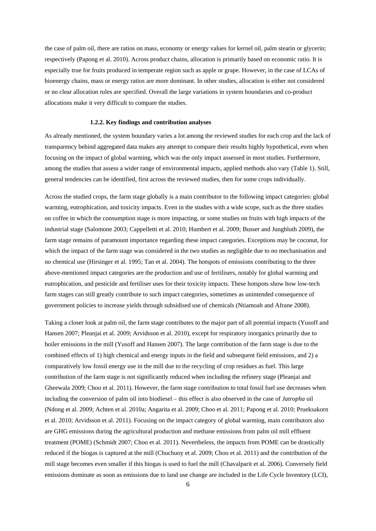the case of palm oil, there are ratios on mass, economy or energy values for kernel oil, palm stearin or glycerin; respectively (Papong et al. 2010). Across product chains, allocation is primarily based on economic ratio. It is especially true for fruits produced in temperate region such as apple or grape. However, in the case of LCAs of bioenergy chains, mass or energy ratios are more dominant. In other studies, allocation is either not considered or no clear allocation rules are specified. Overall the large variations in system boundaries and co-product allocations make it very difficult to compare the studies.

## **1.2.2. Key findings and contribution analyses**

As already mentioned, the system boundary varies a lot among the reviewed studies for each crop and the lack of transparency behind aggregated data makes any attempt to compare their results highly hypothetical, even when focusing on the impact of global warming, which was the only impact assessed in most studies. Furthermore, among the studies that assess a wider range of environmental impacts, applied methods also vary (Table 1). Still, general tendencies can be identified, first across the reviewed studies, then for some crops individually.

Across the studied crops, the farm stage globally is a main contributor to the following impact categories: global warming, eutrophication, and toxicity impacts. Even in the studies with a wide scope, such as the three studies on coffee in which the consumption stage is more impacting, or some studies on fruits with high impacts of the industrial stage (Salomone 2003; Cappelletti et al. 2010; Humbert et al. 2009; Busser and Jungbluth 2009), the farm stage remains of paramount importance regarding these impact categories. Exceptions may be coconut, for which the impact of the farm stage was considered in the two studies as negligible due to no mechanisation and no chemical use (Hirsinger et al. 1995; Tan et al. 2004). The hotspots of emissions contributing to the three above-mentioned impact categories are the production and use of fertilisers, notably for global warming and eutrophication, and pesticide and fertiliser uses for their toxicity impacts. These hotspots show how low-tech farm stages can still greatly contribute to such impact categories, sometimes as unintended consequence of government policies to increase yields through subsidised use of chemicals (Ntiamoah and Afrane 2008).

Taking a closer look at palm oil, the farm stage contributes to the major part of all potential impacts (Yusoff and Hansen 2007; Pleanjai et al. 2009; Arvidsson et al. 2010), except for respiratory inorganics primarily due to boiler emissions in the mill (Yusoff and Hansen 2007). The large contribution of the farm stage is due to the combined effects of 1) high chemical and energy inputs in the field and subsequent field emissions, and 2) a comparatively low fossil energy use in the mill due to the recycling of crop residues as fuel. This large contribution of the farm stage is not significantly reduced when including the refinery stage (Pleanjai and Gheewala 2009; Choo et al. 2011). However, the farm stage contribution to total fossil fuel use decreases when including the conversion of palm oil into biodiesel – this effect is also observed in the case of *Jatropha* oil (Ndong et al. 2009; Achten et al. 2010a; Angarita et al. 2009; Choo et al. 2011; Papong et al. 2010; Prueksakorn et al. 2010; Arvidsson et al. 2011). Focusing on the impact category of global warming, main contributors also are GHG emissions during the agricultural production and methane emissions from palm oil mill effluent treatment (POME) (Schmidt 2007; Choo et al. 2011). Nevertheless, the impacts from POME can be drastically reduced if the biogas is captured at the mill (Chuchuoy et al. 2009; Choo et al. 2011) and the contribution of the mill stage becomes even smaller if this biogas is used to fuel the mill (Chavalparit et al. 2006). Conversely field emissions dominate as soon as emissions due to land use change are included in the Life Cycle Inventory (LCI),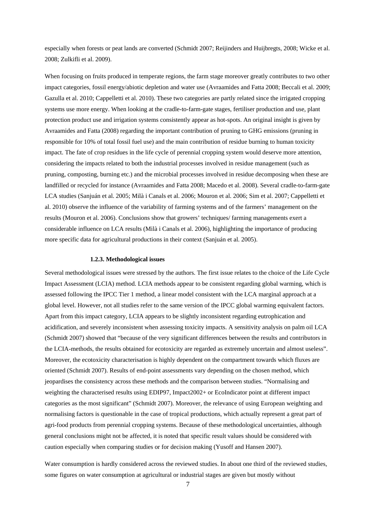especially when forests or peat lands are converted (Schmidt 2007; Reijinders and Huijbregts, 2008; Wicke et al. 2008; Zulkifli et al. 2009).

When focusing on fruits produced in temperate regions, the farm stage moreover greatly contributes to two other impact categories, fossil energy/abiotic depletion and water use (Avraamides and Fatta 2008; Beccali et al. 2009; Gazulla et al. 2010; Cappelletti et al. 2010). These two categories are partly related since the irrigated cropping systems use more energy. When looking at the cradle-to-farm-gate stages, fertiliser production and use, plant protection product use and irrigation systems consistently appear as hot-spots. An original insight is given by Avraamides and Fatta (2008) regarding the important contribution of pruning to GHG emissions (pruning in responsible for 10% of total fossil fuel use) and the main contribution of residue burning to human toxicity impact. The fate of crop residues in the life cycle of perennial cropping system would deserve more attention, considering the impacts related to both the industrial processes involved in residue management (such as pruning, composting, burning etc.) and the microbial processes involved in residue decomposing when these are landfilled or recycled for instance (Avraamides and Fatta 2008; Macedo et al. 2008). Several cradle-to-farm-gate LCA studies (Sanjuán et al. 2005; Milà i Canals et al. 2006; Mouron et al. 2006; Sim et al. 2007; Cappelletti et al. 2010) observe the influence of the variability of farming systems and of the farmers' management on the results (Mouron et al. 2006). Conclusions show that growers' techniques/ farming managements exert a considerable influence on LCA results (Milà i Canals et al. 2006), highlighting the importance of producing more specific data for agricultural productions in their context (Sanjuán et al. 2005).

#### **1.2.3. Methodological issues**

Several methodological issues were stressed by the authors. The first issue relates to the choice of the Life Cycle Impact Assessment (LCIA) method. LCIA methods appear to be consistent regarding global warming, which is assessed following the IPCC Tier 1 method, a linear model consistent with the LCA marginal approach at a global level. However, not all studies refer to the same version of the IPCC global warming equivalent factors. Apart from this impact category, LCIA appears to be slightly inconsistent regarding eutrophication and acidification, and severely inconsistent when assessing toxicity impacts. A sensitivity analysis on palm oil LCA (Schmidt 2007) showed that "because of the very significant differences between the results and contributors in the LCIA-methods, the results obtained for ecotoxicity are regarded as extremely uncertain and almost useless". Moreover, the ecotoxicity characterisation is highly dependent on the compartment towards which fluxes are oriented (Schmidt 2007). Results of end-point assessments vary depending on the chosen method, which jeopardises the consistency across these methods and the comparison between studies. "Normalising and weighting the characterised results using EDIP97, Impact2002+ or EcoIndicator point at different impact categories as the most significant" (Schmidt 2007). Moreover, the relevance of using European weighting and normalising factors is questionable in the case of tropical productions, which actually represent a great part of agri-food products from perennial cropping systems. Because of these methodological uncertainties, although general conclusions might not be affected, it is noted that specific result values should be considered with caution especially when comparing studies or for decision making (Yusoff and Hansen 2007).

Water consumption is hardly considered across the reviewed studies. In about one third of the reviewed studies, some figures on water consumption at agricultural or industrial stages are given but mostly without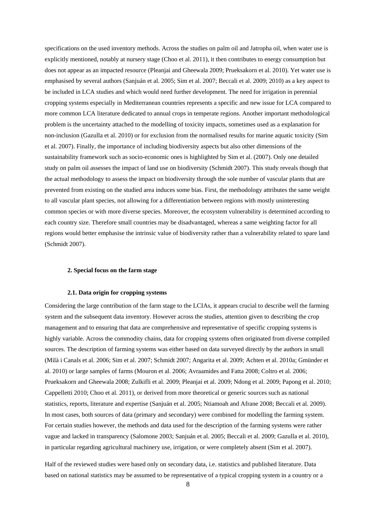specifications on the used inventory methods. Across the studies on palm oil and Jatropha oil, when water use is explicitly mentioned, notably at nursery stage (Choo et al. 2011), it then contributes to energy consumption but does not appear as an impacted resource (Pleanjai and Gheewala 2009; Prueksakorn et al. 2010). Yet water use is emphasised by several authors (Sanjuán et al. 2005; Sim et al. 2007; Beccali et al. 2009; 2010) as a key aspect to be included in LCA studies and which would need further development. The need for irrigation in perennial cropping systems especially in Mediterranean countries represents a specific and new issue for LCA compared to more common LCA literature dedicated to annual crops in temperate regions. Another important methodological problem is the uncertainty attached to the modelling of toxicity impacts, sometimes used as a explanation for non-inclusion (Gazulla et al. 2010) or for exclusion from the normalised results for marine aquatic toxicity (Sim et al. 2007). Finally, the importance of including biodiversity aspects but also other dimensions of the sustainability framework such as socio-economic ones is highlighted by Sim et al. (2007). Only one detailed study on palm oil assesses the impact of land use on biodiversity (Schmidt 2007). This study reveals though that the actual methodology to assess the impact on biodiversity through the sole number of vascular plants that are prevented from existing on the studied area induces some bias. First, the methodology attributes the same weight to all vascular plant species, not allowing for a differentiation between regions with mostly uninteresting common species or with more diverse species. Moreover, the ecosystem vulnerability is determined according to each country size. Therefore small countries may be disadvantaged, whereas a same weighting factor for all regions would better emphasise the intrinsic value of biodiversity rather than a vulnerability related to spare land (Schmidt 2007).

#### **2. Special focus on the farm stage**

## **2.1. Data origin for cropping systems**

Considering the large contribution of the farm stage to the LCIAs, it appears crucial to describe well the farming system and the subsequent data inventory. However across the studies, attention given to describing the crop management and to ensuring that data are comprehensive and representative of specific cropping systems is highly variable. Across the commodity chains, data for cropping systems often originated from diverse compiled sources. The description of farming systems was either based on data surveyed directly by the authors in small (Milà i Canals et al. 2006; Sim et al. 2007; Schmidt 2007; Angarita et al. 2009; Achten et al. 2010a; Gmünder et al. 2010) or large samples of farms (Mouron et al. 2006; Avraamides and Fatta 2008; Coltro et al. 2006; Prueksakorn and Gheewala 2008; Zulkifli et al. 2009; Pleanjai et al. 2009; Ndong et al. 2009; Papong et al. 2010; Cappelletti 2010; Choo et al. 2011), or derived from more theoretical or generic sources such as national statistics, reports, literature and expertise (Sanjuán et al. 2005; Ntiamoah and Afrane 2008; Beccali et al. 2009). In most cases, both sources of data (primary and secondary) were combined for modelling the farming system. For certain studies however, the methods and data used for the description of the farming systems were rather vague and lacked in transparency (Salomone 2003; Sanjuán et al. 2005; Beccali et al. 2009; Gazulla et al. 2010), in particular regarding agricultural machinery use, irrigation, or were completely absent (Sim et al. 2007).

Half of the reviewed studies were based only on secondary data, i.e. statistics and published literature. Data based on national statistics may be assumed to be representative of a typical cropping system in a country or a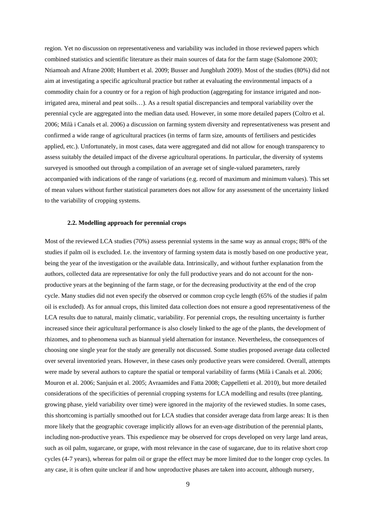region. Yet no discussion on representativeness and variability was included in those reviewed papers which combined statistics and scientific literature as their main sources of data for the farm stage (Salomone 2003; Ntiamoah and Afrane 2008; Humbert et al. 2009; Busser and Jungbluth 2009). Most of the studies (80%) did not aim at investigating a specific agricultural practice but rather at evaluating the environmental impacts of a commodity chain for a country or for a region of high production (aggregating for instance irrigated and nonirrigated area, mineral and peat soils…). As a result spatial discrepancies and temporal variability over the perennial cycle are aggregated into the median data used. However, in some more detailed papers (Coltro et al. 2006; Milà i Canals et al. 2006) a discussion on farming system diversity and representativeness was present and confirmed a wide range of agricultural practices (in terms of farm size, amounts of fertilisers and pesticides applied, etc.). Unfortunately, in most cases, data were aggregated and did not allow for enough transparency to assess suitably the detailed impact of the diverse agricultural operations. In particular, the diversity of systems surveyed is smoothed out through a compilation of an average set of single-valued parameters, rarely accompanied with indications of the range of variations (e.g. record of maximum and minimum values). This set of mean values without further statistical parameters does not allow for any assessment of the uncertainty linked to the variability of cropping systems.

### **2.2. Modelling approach for perennial crops**

Most of the reviewed LCA studies (70%) assess perennial systems in the same way as annual crops; 88% of the studies if palm oil is excluded. I.e. the inventory of farming system data is mostly based on one productive year, being the year of the investigation or the available data. Intrinsically, and without further explanation from the authors, collected data are representative for only the full productive years and do not account for the nonproductive years at the beginning of the farm stage, or for the decreasing productivity at the end of the crop cycle. Many studies did not even specify the observed or common crop cycle length (65% of the studies if palm oil is excluded). As for annual crops, this limited data collection does not ensure a good representativeness of the LCA results due to natural, mainly climatic, variability. For perennial crops, the resulting uncertainty is further increased since their agricultural performance is also closely linked to the age of the plants, the development of rhizomes, and to phenomena such as biannual yield alternation for instance. Nevertheless, the consequences of choosing one single year for the study are generally not discussed. Some studies proposed average data collected over several inventoried years. However, in these cases only productive years were considered. Overall, attempts were made by several authors to capture the spatial or temporal variability of farms (Milà i Canals et al. 2006; Mouron et al. 2006; Sanjuán et al. 2005; Avraamides and Fatta 2008; Cappelletti et al. 2010), but more detailed considerations of the specificities of perennial cropping systems for LCA modelling and results (tree planting, growing phase, yield variability over time) were ignored in the majority of the reviewed studies. In some cases, this shortcoming is partially smoothed out for LCA studies that consider average data from large areas: It is then more likely that the geographic coverage implicitly allows for an even-age distribution of the perennial plants, including non-productive years. This expedience may be observed for crops developed on very large land areas, such as oil palm, sugarcane, or grape, with most relevance in the case of sugarcane, due to its relative short crop cycles (4-7 years), whereas for palm oil or grape the effect may be more limited due to the longer crop cycles. In any case, it is often quite unclear if and how unproductive phases are taken into account, although nursery,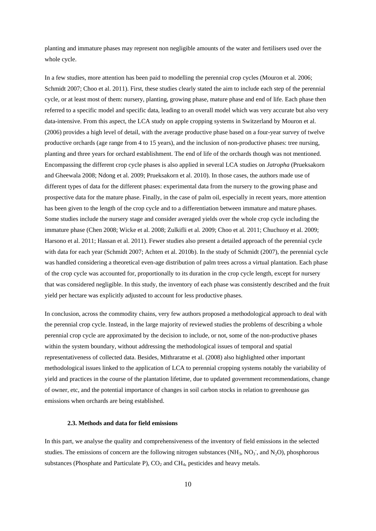planting and immature phases may represent non negligible amounts of the water and fertilisers used over the whole cycle.

In a few studies, more attention has been paid to modelling the perennial crop cycles (Mouron et al. 2006; Schmidt 2007; Choo et al. 2011). First, these studies clearly stated the aim to include each step of the perennial cycle, or at least most of them: nursery, planting, growing phase, mature phase and end of life. Each phase then referred to a specific model and specific data, leading to an overall model which was very accurate but also very data-intensive. From this aspect, the LCA study on apple cropping systems in Switzerland by Mouron et al. (2006) provides a high level of detail, with the average productive phase based on a four-year survey of twelve productive orchards (age range from 4 to 15 years), and the inclusion of non-productive phases: tree nursing, planting and three years for orchard establishment. The end of life of the orchards though was not mentioned. Encompassing the different crop cycle phases is also applied in several LCA studies on *Jatropha* (Prueksakorn and Gheewala 2008; Ndong et al. 2009; Prueksakorn et al. 2010). In those cases, the authors made use of different types of data for the different phases: experimental data from the nursery to the growing phase and prospective data for the mature phase. Finally, in the case of palm oil, especially in recent years, more attention has been given to the length of the crop cycle and to a differentiation between immature and mature phases. Some studies include the nursery stage and consider averaged yields over the whole crop cycle including the immature phase (Chen 2008; Wicke et al. 2008; Zulkifli et al. 2009; Choo et al. 2011; Chuchuoy et al. 2009; Harsono et al. 2011; Hassan et al. 2011). Fewer studies also present a detailed approach of the perennial cycle with data for each year (Schmidt 2007; Achten et al. 2010b). In the study of Schmidt (2007), the perennial cycle was handled considering a theoretical even-age distribution of palm trees across a virtual plantation. Each phase of the crop cycle was accounted for, proportionally to its duration in the crop cycle length, except for nursery that was considered negligible. In this study, the inventory of each phase was consistently described and the fruit yield per hectare was explicitly adjusted to account for less productive phases.

In conclusion, across the commodity chains, very few authors proposed a methodological approach to deal with the perennial crop cycle. Instead, in the large majority of reviewed studies the problems of describing a whole perennial crop cycle are approximated by the decision to include, or not, some of the non-productive phases within the system boundary, without addressing the methodological issues of temporal and spatial representativeness of collected data. Besides, Mithraratne et al. (2008) also highlighted other important methodological issues linked to the application of LCA to perennial cropping systems notably the variability of yield and practices in the course of the plantation lifetime, due to updated government recommendations, change of owner, etc, and the potential importance of changes in soil carbon stocks in relation to greenhouse gas emissions when orchards are being established.

### **2.3. Methods and data for field emissions**

In this part, we analyse the quality and comprehensiveness of the inventory of field emissions in the selected studies. The emissions of concern are the following nitrogen substances  $(NH_3, NO_3)$ , and  $N_2O$ ), phosphorous substances (Phosphate and Particulate P),  $CO<sub>2</sub>$  and  $CH<sub>4</sub>$ , pesticides and heavy metals.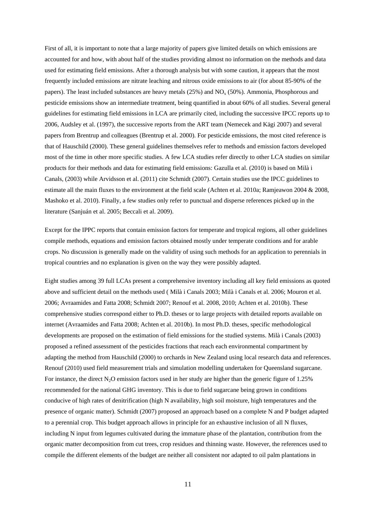First of all, it is important to note that a large majority of papers give limited details on which emissions are accounted for and how, with about half of the studies providing almost no information on the methods and data used for estimating field emissions. After a thorough analysis but with some caution, it appears that the most frequently included emissions are nitrate leaching and nitrous oxide emissions to air (for about 85-90% of the papers). The least included substances are heavy metals  $(25%)$  and  $NO<sub>x</sub>$  (50%). Ammonia, Phosphorous and pesticide emissions show an intermediate treatment, being quantified in about 60% of all studies. Several general guidelines for estimating field emissions in LCA are primarily cited, including the successive IPCC reports up to 2006, Audsley et al. (1997), the successive reports from the ART team (Nemecek and Kägi 2007) and several papers from Brentrup and colleagues (Brentrup et al. 2000). For pesticide emissions, the most cited reference is that of Hauschild (2000). These general guidelines themselves refer to methods and emission factors developed most of the time in other more specific studies. A few LCA studies refer directly to other LCA studies on similar products for their methods and data for estimating field emissions: Gazulla et al. (2010) is based on Milà i Canals, (2003) while Arvidsson et al. (2011) cite Schmidt (2007). Certain studies use the IPCC guidelines to estimate all the main fluxes to the environment at the field scale (Achten et al. 2010a; Ramjeawon 2004 & 2008, Mashoko et al. 2010). Finally, a few studies only refer to punctual and disperse references picked up in the literature (Sanjuán et al. 2005; Beccali et al. 2009).

Except for the IPPC reports that contain emission factors for temperate and tropical regions, all other guidelines compile methods, equations and emission factors obtained mostly under temperate conditions and for arable crops. No discussion is generally made on the validity of using such methods for an application to perennials in tropical countries and no explanation is given on the way they were possibly adapted.

Eight studies among 39 full LCAs present a comprehensive inventory including all key field emissions as quoted above and sufficient detail on the methods used ( Milà i Canals 2003; Milà i Canals et al. 2006; Mouron et al. 2006; Avraamides and Fatta 2008; Schmidt 2007; Renouf et al. 2008, 2010; Achten et al. 2010b). These comprehensive studies correspond either to Ph.D. theses or to large projects with detailed reports available on internet (Avraamides and Fatta 2008; Achten et al. 2010b). In most Ph.D. theses, specific methodological developments are proposed on the estimation of field emissions for the studied systems. Milà i Canals (2003) proposed a refined assessment of the pesticides fractions that reach each environmental compartment by adapting the method from Hauschild (2000) to orchards in New Zealand using local research data and references. Renouf (2010) used field measurement trials and simulation modelling undertaken for Queensland sugarcane. For instance, the direct N<sub>2</sub>O emission factors used in her study are higher than the generic figure of 1.25% recommended for the national GHG inventory. This is due to field sugarcane being grown in conditions conducive of high rates of denitrification (high N availability, high soil moisture, high temperatures and the presence of organic matter). Schmidt (2007) proposed an approach based on a complete N and P budget adapted to a perennial crop. This budget approach allows in principle for an exhaustive inclusion of all N fluxes, including N input from legumes cultivated during the immature phase of the plantation, contribution from the organic matter decomposition from cut trees, crop residues and thinning waste. However, the references used to compile the different elements of the budget are neither all consistent nor adapted to oil palm plantations in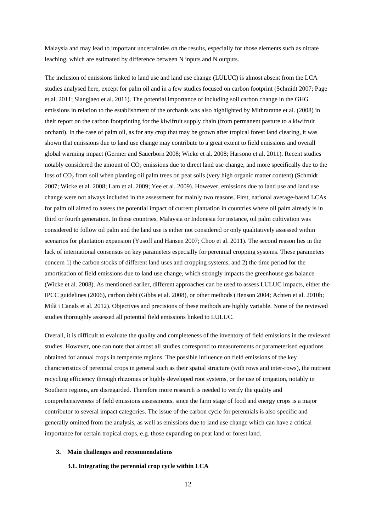Malaysia and may lead to important uncertainties on the results, especially for those elements such as nitrate leaching, which are estimated by difference between N inputs and N outputs.

The inclusion of emissions linked to land use and land use change (LULUC) is almost absent from the LCA studies analysed here, except for palm oil and in a few studies focused on carbon footprint (Schmidt 2007; Page et al. 2011; Siangjaeo et al. 2011). The potential importance of including soil carbon change in the GHG emissions in relation to the establishment of the orchards was also highlighted by Mithraratne et al. (2008) in their report on the carbon footprinting for the kiwifruit supply chain (from permanent pasture to a kiwifruit orchard). In the case of palm oil, as for any crop that may be grown after tropical forest land clearing, it was shown that emissions due to land use change may contribute to a great extent to field emissions and overall global warming impact (Germer and Sauerborn 2008; Wicke et al. 2008; Harsono et al. 2011). Recent studies notably considered the amount of  $CO<sub>2</sub>$  emissions due to direct land use change, and more specifically due to the loss of CO<sub>2</sub> from soil when planting oil palm trees on peat soils (very high organic matter content) (Schmidt 2007; Wicke et al. 2008; Lam et al. 2009; Yee et al. 2009). However, emissions due to land use and land use change were not always included in the assessment for mainly two reasons. First, national average-based LCAs for palm oil aimed to assess the potential impact of current plantation in countries where oil palm already is in third or fourth generation. In these countries, Malaysia or Indonesia for instance, oil palm cultivation was considered to follow oil palm and the land use is either not considered or only qualitatively assessed within scenarios for plantation expansion (Yusoff and Hansen 2007; Choo et al. 2011). The second reason lies in the lack of international consensus on key parameters especially for perennial cropping systems. These parameters concern 1) the carbon stocks of different land uses and cropping systems, and 2) the time period for the amortisation of field emissions due to land use change, which strongly impacts the greenhouse gas balance (Wicke et al. 2008). As mentioned earlier, different approaches can be used to assess LULUC impacts, either the IPCC guidelines (2006), carbon debt (Gibbs et al. 2008), or other methods (Henson 2004; Achten et al. 2010b; Milà i Canals et al. 2012). Objectives and precisions of these methods are highly variable. None of the reviewed studies thoroughly assessed all potential field emissions linked to LULUC.

Overall, it is difficult to evaluate the quality and completeness of the inventory of field emissions in the reviewed studies. However, one can note that almost all studies correspond to measurements or parameterised equations obtained for annual crops in temperate regions. The possible influence on field emissions of the key characteristics of perennial crops in general such as their spatial structure (with rows and inter-rows), the nutrient recycling efficiency through rhizomes or highly developed root systems, or the use of irrigation, notably in Southern regions, are disregarded. Therefore more research is needed to verify the quality and comprehensiveness of field emissions assessments, since the farm stage of food and energy crops is a major contributor to several impact categories. The issue of the carbon cycle for perennials is also specific and generally omitted from the analysis, as well as emissions due to land use change which can have a critical importance for certain tropical crops, e.g. those expanding on peat land or forest land.

## **3. Main challenges and recommendations**

## **3.1. Integrating the perennial crop cycle within LCA**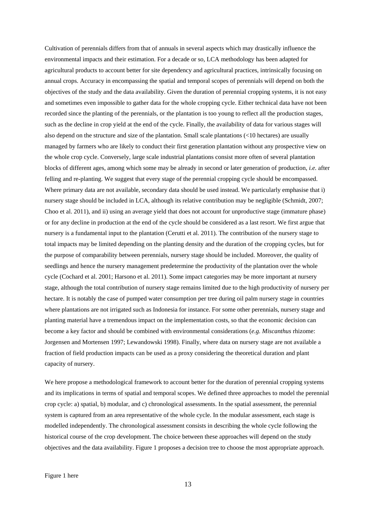Cultivation of perennials differs from that of annuals in several aspects which may drastically influence the environmental impacts and their estimation. For a decade or so, LCA methodology has been adapted for agricultural products to account better for site dependency and agricultural practices, intrinsically focusing on annual crops. Accuracy in encompassing the spatial and temporal scopes of perennials will depend on both the objectives of the study and the data availability. Given the duration of perennial cropping systems, it is not easy and sometimes even impossible to gather data for the whole cropping cycle. Either technical data have not been recorded since the planting of the perennials, or the plantation is too young to reflect all the production stages, such as the decline in crop yield at the end of the cycle. Finally, the availability of data for various stages will also depend on the structure and size of the plantation. Small scale plantations (<10 hectares) are usually managed by farmers who are likely to conduct their first generation plantation without any prospective view on the whole crop cycle. Conversely, large scale industrial plantations consist more often of several plantation blocks of different ages, among which some may be already in second or later generation of production, *i.e.* after felling and re-planting. We suggest that every stage of the perennial cropping cycle should be encompassed. Where primary data are not available, secondary data should be used instead. We particularly emphasise that i) nursery stage should be included in LCA, although its relative contribution may be negligible (Schmidt, 2007; Choo et al. 2011), and ii) using an average yield that does not account for unproductive stage (immature phase) or for any decline in production at the end of the cycle should be considered as a last resort. We first argue that nursery is a fundamental input to the plantation (Cerutti et al. 2011). The contribution of the nursery stage to total impacts may be limited depending on the planting density and the duration of the cropping cycles, but for the purpose of comparability between perennials, nursery stage should be included. Moreover, the quality of seedlings and hence the nursery management predetermine the productivity of the plantation over the whole cycle (Cochard et al. 2001; Harsono et al. 2011). Some impact categories may be more important at nursery stage, although the total contribution of nursery stage remains limited due to the high productivity of nursery per hectare. It is notably the case of pumped water consumption per tree during oil palm nursery stage in countries where plantations are not irrigated such as Indonesia for instance. For some other perennials, nursery stage and planting material have a tremendous impact on the implementation costs, so that the economic decision can become a key factor and should be combined with environmental considerations (*e.g. Miscanthus* rhizome: Jorgensen and Mortensen 1997; Lewandowski 1998). Finally, where data on nursery stage are not available a fraction of field production impacts can be used as a proxy considering the theoretical duration and plant capacity of nursery.

We here propose a methodological framework to account better for the duration of perennial cropping systems and its implications in terms of spatial and temporal scopes. We defined three approaches to model the perennial crop cycle: a) spatial, b) modular, and c) chronological assessments. In the spatial assessment, the perennial system is captured from an area representative of the whole cycle. In the modular assessment, each stage is modelled independently. The chronological assessment consists in describing the whole cycle following the historical course of the crop development. The choice between these approaches will depend on the study objectives and the data availability. Figure 1 proposes a decision tree to choose the most appropriate approach.

Figure 1 here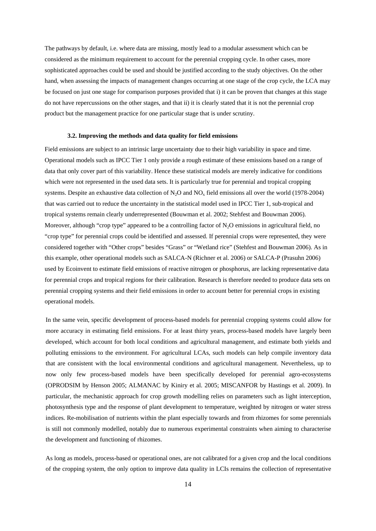The pathways by default, i.e. where data are missing, mostly lead to a modular assessment which can be considered as the minimum requirement to account for the perennial cropping cycle. In other cases, more sophisticated approaches could be used and should be justified according to the study objectives. On the other hand, when assessing the impacts of management changes occurring at one stage of the crop cycle, the LCA may be focused on just one stage for comparison purposes provided that i) it can be proven that changes at this stage do not have repercussions on the other stages, and that ii) it is clearly stated that it is not the perennial crop product but the management practice for one particular stage that is under scrutiny.

#### **3.2. Improving the methods and data quality for field emissions**

Field emissions are subject to an intrinsic large uncertainty due to their high variability in space and time. Operational models such as IPCC Tier 1 only provide a rough estimate of these emissions based on a range of data that only cover part of this variability. Hence these statistical models are merely indicative for conditions which were not represented in the used data sets. It is particularly true for perennial and tropical cropping systems. Despite an exhaustive data collection of  $N<sub>2</sub>O$  and  $NO<sub>x</sub>$  field emissions all over the world (1978-2004) that was carried out to reduce the uncertainty in the statistical model used in IPCC Tier 1, sub-tropical and tropical systems remain clearly underrepresented (Bouwman et al. 2002; Stehfest and Bouwman 2006). Moreover, although "crop type" appeared to be a controlling factor of  $N<sub>2</sub>O$  emissions in agricultural field, no "crop type" for perennial crops could be identified and assessed. If perennial crops were represented, they were considered together with "Other crops" besides "Grass" or "Wetland rice" (Stehfest and Bouwman 2006). As in this example, other operational models such as SALCA-N (Richner et al. 2006) or SALCA-P (Prasuhn 2006) used by Ecoinvent to estimate field emissions of reactive nitrogen or phosphorus, are lacking representative data for perennial crops and tropical regions for their calibration. Research is therefore needed to produce data sets on perennial cropping systems and their field emissions in order to account better for perennial crops in existing operational models.

In the same vein, specific development of process-based models for perennial cropping systems could allow for more accuracy in estimating field emissions. For at least thirty years, process-based models have largely been developed, which account for both local conditions and agricultural management, and estimate both yields and polluting emissions to the environment. For agricultural LCAs, such models can help compile inventory data that are consistent with the local environmental conditions and agricultural management. Nevertheless, up to now only few process-based models have been specifically developed for perennial agro-ecosystems (OPRODSIM by Henson 2005; ALMANAC by Kiniry et al. 2005; MISCANFOR by Hastings et al. 2009). In particular, the mechanistic approach for crop growth modelling relies on parameters such as light interception, photosynthesis type and the response of plant development to temperature, weighted by nitrogen or water stress indices. Re-mobilisation of nutrients within the plant especially towards and from rhizomes for some perennials is still not commonly modelled, notably due to numerous experimental constraints when aiming to characterise the development and functioning of rhizomes.

As long as models, process-based or operational ones, are not calibrated for a given crop and the local conditions of the cropping system, the only option to improve data quality in LCIs remains the collection of representative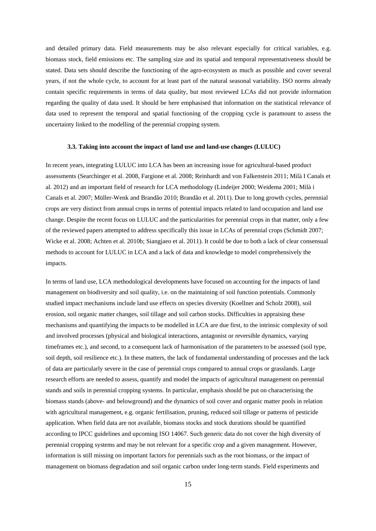and detailed primary data. Field measurements may be also relevant especially for critical variables, e.g. biomass stock, field emissions etc. The sampling size and its spatial and temporal representativeness should be stated. Data sets should describe the functioning of the agro-ecosystem as much as possible and cover several years, if not the whole cycle, to account for at least part of the natural seasonal variability. ISO norms already contain specific requirements in terms of data quality, but most reviewed LCAs did not provide information regarding the quality of data used. It should be here emphasised that information on the statistical relevance of data used to represent the temporal and spatial functioning of the cropping cycle is paramount to assess the uncertainty linked to the modelling of the perennial cropping system.

#### **3.3. Taking into account the impact of land use and land-use changes (LULUC)**

In recent years, integrating LULUC into LCA has been an increasing issue for agricultural-based product assessments (Searchinger et al. 2008, Fargione et al. 2008; Reinhardt and von Falkenstein 2011; Milà I Canals et al. 2012) and an important field of research for LCA methodology (Lindeijer 2000; Weidema 2001; Milà i Canals et al. 2007; Müller-Wenk and Brandão 2010; Brandão et al. 2011). Due to long growth cycles, perennial crops are very distinct from annual crops in terms of potential impacts related to land occupation and land use change. Despite the recent focus on LULUC and the particularities for perennial crops in that matter, only a few of the reviewed papers attempted to address specifically this issue in LCAs of perennial crops (Schmidt 2007; Wicke et al. 2008; Achten et al. 2010b; Siangjaeo et al. 2011). It could be due to both a lack of clear consensual methods to account for LULUC in LCA and a lack of data and knowledge to model comprehensively the impacts.

In terms of land use, LCA methodological developments have focused on accounting for the impacts of land management on biodiversity and soil quality, i.e. on the maintaining of soil function potentials. Commonly studied impact mechanisms include land use effects on species diversity (Koellner and Scholz 2008), soil erosion, soil organic matter changes, soil tillage and soil carbon stocks. Difficulties in appraising these mechanisms and quantifying the impacts to be modelled in LCA are due first, to the intrinsic complexity of soil and involved processes (physical and biological interactions, antagonist or reversible dynamics, varying timeframes etc.), and second, to a consequent lack of harmonisation of the parameters to be assessed (soil type, soil depth, soil resilience etc.). In these matters, the lack of fundamental understanding of processes and the lack of data are particularly severe in the case of perennial crops compared to annual crops or grasslands. Large research efforts are needed to assess, quantify and model the impacts of agricultural management on perennial stands and soils in perennial cropping systems. In particular, emphasis should be put on characterising the biomass stands (above- and belowground) and the dynamics of soil cover and organic matter pools in relation with agricultural management, e.g. organic fertilisation, pruning, reduced soil tillage or patterns of pesticide application. When field data are not available, biomass stocks and stock durations should be quantified according to IPCC guidelines and upcoming ISO 14067. Such generic data do not cover the high diversity of perennial cropping systems and may be not relevant for a specific crop and a given management. However, information is still missing on important factors for perennials such as the root biomass, or the impact of management on biomass degradation and soil organic carbon under long-term stands. Field experiments and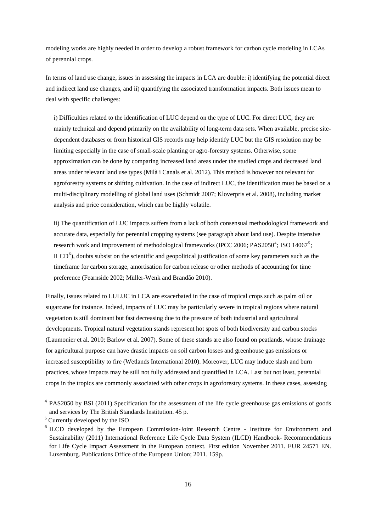modeling works are highly needed in order to develop a robust framework for carbon cycle modeling in LCAs of perennial crops.

In terms of land use change, issues in assessing the impacts in LCA are double: i) identifying the potential direct and indirect land use changes, and ii) quantifying the associated transformation impacts. Both issues mean to deal with specific challenges:

i) Difficulties related to the identification of LUC depend on the type of LUC. For direct LUC, they are mainly technical and depend primarily on the availability of long-term data sets. When available, precise sitedependent databases or from historical GIS records may help identify LUC but the GIS resolution may be limiting especially in the case of small-scale planting or agro-forestry systems. Otherwise, some approximation can be done by comparing increased land areas under the studied crops and decreased land areas under relevant land use types (Milà i Canals et al. 2012). This method is however not relevant for agroforestry systems or shifting cultivation. In the case of indirect LUC, the identification must be based on a multi-disciplinary modelling of global land uses (Schmidt 2007; Kloverpris et al. 2008), including market analysis and price consideration, which can be highly volatile.

ii) The quantification of LUC impacts suffers from a lack of both consensual methodological framework and accurate data, especially for perennial cropping systems (see paragraph about land use). Despite intensive research work and improvement of methodological frameworks (IPCC 2006; PAS2050<sup>[4](#page-15-0)</sup>; ISO 14067<sup>[5](#page-15-1)</sup>;  $ILCD<sup>6</sup>$  $ILCD<sup>6</sup>$  $ILCD<sup>6</sup>$ ), doubts subsist on the scientific and geopolitical justification of some key parameters such as the timeframe for carbon storage, amortisation for carbon release or other methods of accounting for time preference (Fearnside 2002; Müller-Wenk and Brandão 2010).

Finally, issues related to LULUC in LCA are exacerbated in the case of tropical crops such as palm oil or sugarcane for instance. Indeed, impacts of LUC may be particularly severe in tropical regions where natural vegetation is still dominant but fast decreasing due to the pressure of both industrial and agricultural developments. Tropical natural vegetation stands represent hot spots of both biodiversity and carbon stocks (Laumonier et al. 2010; Barlow et al. 2007). Some of these stands are also found on peatlands, whose drainage for agricultural purpose can have drastic impacts on soil carbon losses and greenhouse gas emissions or increased susceptibility to fire (Wetlands International 2010). Moreover, LUC may induce slash and burn practices, whose impacts may be still not fully addressed and quantified in LCA. Last but not least, perennial crops in the tropics are commonly associated with other crops in agroforestry systems. In these cases, assessing

1

<span id="page-15-0"></span><sup>4</sup> PAS2050 by BSI (2011) Specification for the assessment of the life cycle greenhouse gas emissions of goods and services by The British Standards Institution. 45 p.

<span id="page-15-1"></span><sup>5</sup> Currently developed by the ISO

<span id="page-15-2"></span><sup>&</sup>lt;sup>6</sup> ILCD developed by the European Commission-Joint Research Centre - Institute for Environment and Sustainability (2011) International Reference Life Cycle Data System (ILCD) Handbook- Recommendations for Life Cycle Impact Assessment in the European context. First edition November 2011. EUR 24571 EN. Luxemburg. Publications Office of the European Union; 2011. 159p.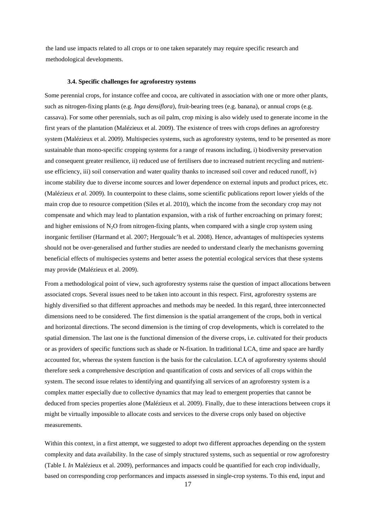the land use impacts related to all crops or to one taken separately may require specific research and methodological developments.

## **3.4. Specific challenges for agroforestry systems**

Some perennial crops, for instance coffee and cocoa, are cultivated in association with one or more other plants, such as nitrogen-fixing plants (e.g. *Inga densiflora*), fruit-bearing trees (e.g. banana), or annual crops (e.g. cassava). For some other perennials, such as oil palm, crop mixing is also widely used to generate income in the first years of the plantation (Malézieux et al. 2009). The existence of trees with crops defines an agroforestry system (Malézieux et al. 2009). Multispecies systems, such as agroforestry systems, tend to be presented as more sustainable than mono-specific cropping systems for a range of reasons including, i) biodiversity preservation and consequent greater resilience, ii) reduced use of fertilisers due to increased nutrient recycling and nutrientuse efficiency, iii) soil conservation and water quality thanks to increased soil cover and reduced runoff, iv) income stability due to diverse income sources and lower dependence on external inputs and product prices, etc. (Malézieux *et al.* 2009). In counterpoint to these claims, some scientific publications report lower yields of the main crop due to resource competition (Siles et al. 2010), which the income from the secondary crop may not compensate and which may lead to plantation expansion, with a risk of further encroaching on primary forest; and higher emissions of  $N<sub>2</sub>O$  from nitrogen-fixing plants, when compared with a single crop system using inorganic fertiliser (Harmand et al. 2007; Hergoualc'h et al. 2008). Hence, advantages of multispecies systems should not be over-generalised and further studies are needed to understand clearly the mechanisms governing beneficial effects of multispecies systems and better assess the potential ecological services that these systems may provide (Malézieux et al. 2009).

From a methodological point of view, such agroforestry systems raise the question of impact allocations between associated crops. Several issues need to be taken into account in this respect. First, agroforestry systems are highly diversified so that different approaches and methods may be needed. In this regard, three interconnected dimensions need to be considered. The first dimension is the spatial arrangement of the crops, both in vertical and horizontal directions. The second dimension is the timing of crop developments, which is correlated to the spatial dimension. The last one is the functional dimension of the diverse crops, i.e. cultivated for their products or as providers of specific functions such as shade or N-fixation. In traditional LCA, time and space are hardly accounted for, whereas the system function is the basis for the calculation. LCA of agroforestry systems should therefore seek a comprehensive description and quantification of costs and services of all crops within the system. The second issue relates to identifying and quantifying all services of an agroforestry system is a complex matter especially due to collective dynamics that may lead to emergent properties that cannot be deduced from species properties alone (Malézieux et al. 2009). Finally, due to these interactions between crops it might be virtually impossible to allocate costs and services to the diverse crops only based on objective measurements.

Within this context, in a first attempt, we suggested to adopt two different approaches depending on the system complexity and data availability. In the case of simply structured systems, such as sequential or row agroforestry (Table I. *In* Malézieux et al. 2009), performances and impacts could be quantified for each crop individually, based on corresponding crop performances and impacts assessed in single-crop systems. To this end, input and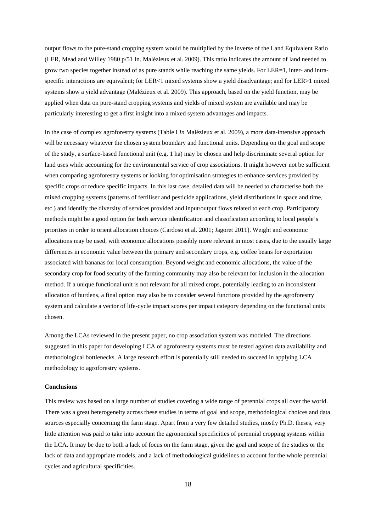output flows to the pure-stand cropping system would be multiplied by the inverse of the Land Equivalent Ratio (LER, Mead and Willey 1980 p/51 In. Malézieux et al. 2009). This ratio indicates the amount of land needed to grow two species together instead of as pure stands while reaching the same yields. For LER=1, inter- and intraspecific interactions are equivalent; for LER<1 mixed systems show a yield disadvantage; and for LER>1 mixed systems show a yield advantage (Malézieux et al. 2009). This approach, based on the yield function, may be applied when data on pure-stand cropping systems and yields of mixed system are available and may be particularly interesting to get a first insight into a mixed system advantages and impacts.

In the case of complex agroforestry systems (Table I *In* Malézieux et al. 2009), a more data-intensive approach will be necessary whatever the chosen system boundary and functional units. Depending on the goal and scope of the study, a surface-based functional unit (e.g. 1 ha) may be chosen and help discriminate several option for land uses while accounting for the environmental service of crop associations. It might however not be sufficient when comparing agroforestry systems or looking for optimisation strategies to enhance services provided by specific crops or reduce specific impacts. In this last case, detailed data will be needed to characterise both the mixed cropping systems (patterns of fertiliser and pesticide applications, yield distributions in space and time, etc.) and identify the diversity of services provided and input/output flows related to each crop. Participatory methods might be a good option for both service identification and classification according to local people's priorities in order to orient allocation choices (Cardoso et al. 2001; Jagoret 2011). Weight and economic allocations may be used, with economic allocations possibly more relevant in most cases, due to the usually large differences in economic value between the primary and secondary crops, e.g. coffee beans for exportation associated with bananas for local consumption. Beyond weight and economic allocations, the value of the secondary crop for food security of the farming community may also be relevant for inclusion in the allocation method. If a unique functional unit is not relevant for all mixed crops, potentially leading to an inconsistent allocation of burdens, a final option may also be to consider several functions provided by the agroforestry system and calculate a vector of life-cycle impact scores per impact category depending on the functional units chosen.

Among the LCAs reviewed in the present paper, no crop association system was modeled. The directions suggested in this paper for developing LCA of agroforestry systems must be tested against data availability and methodological bottlenecks. A large research effort is potentially still needed to succeed in applying LCA methodology to agroforestry systems.

## **Conclusions**

This review was based on a large number of studies covering a wide range of perennial crops all over the world. There was a great heterogeneity across these studies in terms of goal and scope, methodological choices and data sources especially concerning the farm stage. Apart from a very few detailed studies, mostly Ph.D. theses, very little attention was paid to take into account the agronomical specificities of perennial cropping systems within the LCA. It may be due to both a lack of focus on the farm stage, given the goal and scope of the studies or the lack of data and appropriate models, and a lack of methodological guidelines to account for the whole perennial cycles and agricultural specificities.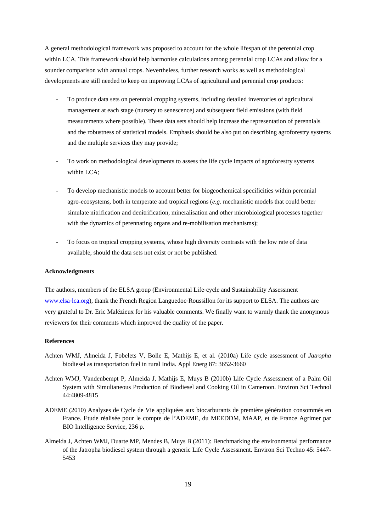A general methodological framework was proposed to account for the whole lifespan of the perennial crop within LCA. This framework should help harmonise calculations among perennial crop LCAs and allow for a sounder comparison with annual crops. Nevertheless, further research works as well as methodological developments are still needed to keep on improving LCAs of agricultural and perennial crop products:

- To produce data sets on perennial cropping systems, including detailed inventories of agricultural management at each stage (nursery to senescence) and subsequent field emissions (with field measurements where possible). These data sets should help increase the representation of perennials and the robustness of statistical models. Emphasis should be also put on describing agroforestry systems and the multiple services they may provide;
- To work on methodological developments to assess the life cycle impacts of agroforestry systems within LCA;
- To develop mechanistic models to account better for biogeochemical specificities within perennial agro-ecosystems, both in temperate and tropical regions (*e.g.* mechanistic models that could better simulate nitrification and denitrification, mineralisation and other microbiological processes together with the dynamics of perennating organs and re-mobilisation mechanisms);
- To focus on tropical cropping systems, whose high diversity contrasts with the low rate of data available, should the data sets not exist or not be published.

### **Acknowledgments**

The authors, members of the ELSA group (Environmental Life‐cycle and Sustainability Assessment www.elsa-lca.org), thank the French Region Languedoc-Roussillon for its support to ELSA. The authors are very grateful to Dr. Eric Malézieux for his valuable comments. We finally want to warmly thank the anonymous reviewers for their comments which improved the quality of the paper.

### **References**

- Achten WMJ, Almeida J, Fobelets V, Bolle E, Mathijs E, et al. (2010a) Life cycle assessment of *Jatropha*  biodiesel as transportation fuel in rural India. Appl Energ 87: 3652-3660
- Achten WMJ, Vandenbempt P, Almeida J, Mathijs E, Muys B (2010b) Life Cycle Assessment of a Palm Oil System with Simultaneous Production of Biodiesel and Cooking Oil in Cameroon. Environ Sci Technol 44:4809-4815
- ADEME (2010) Analyses de Cycle de Vie appliquées aux biocarburants de première génération consommés en France. Etude réalisée pour le compte de l'ADEME, du MEEDDM, MAAP, et de France Agrimer par BIO Intelligence Service, 236 p.
- Almeida J, Achten WMJ, Duarte MP, Mendes B, Muys B (2011): Benchmarking the environmental performance of the Jatropha biodiesel system through a generic Life Cycle Assessment. Environ Sci Techno 45: 5447- 5453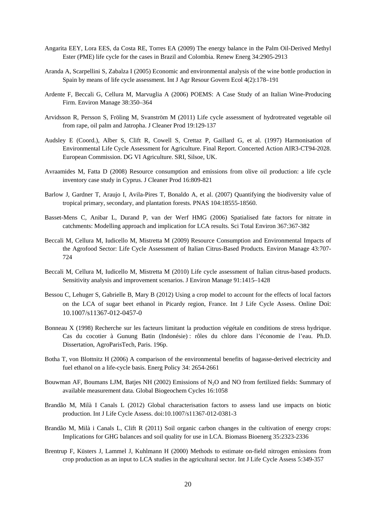- Angarita EEY, Lora EES, da Costa RE, Torres EA (2009) The energy balance in the Palm Oil-Derived Methyl Ester (PME) life cycle for the cases in Brazil and Colombia. Renew Energ 34:2905-2913
- Aranda A, Scarpellini S, Zabalza I (2005) Economic and environmental analysis of the wine bottle production in Spain by means of life cycle assessment. Int J Agr Resour Govern Ecol 4(2):178–191
- Ardente F, Beccali G, Cellura M, Marvuglia A (2006) POEMS: A Case Study of an Italian Wine-Producing Firm. Environ Manage 38:350–364
- Arvidsson R, Persson S, Fröling M, Svanström M (2011) Life cycle assessment of hydrotreated vegetable oil from rape, oil palm and Jatropha. J Cleaner Prod 19:129-137
- Audsley E (Coord.), Alber S, Clift R, Cowell S, Crettaz P, Gaillard G, et al. (1997) Harmonisation of Environmental Life Cycle Assessment for Agriculture. Final Report. Concerted Action AIR3-CT94-2028. European Commission. DG VI Agriculture. SRI, Silsoe, UK.
- Avraamides M, Fatta D (2008) Resource consumption and emissions from olive oil production: a life cycle inventory case study in Cyprus. J Cleaner Prod 16:809-821
- Barlow J, Gardner T, Araujo I, Avila-Pires T, Bonaldo A, et al. (2007) Quantifying the biodiversity value of tropical primary, secondary, and plantation forests. PNAS 104:18555-18560.
- Basset-Mens C, Anibar L, Durand P, van der Werf HMG (2006) Spatialised fate factors for nitrate in catchments: Modelling approach and implication for LCA results. Sci Total Environ 367:367-382
- Beccali M, Cellura M, Iudicello M, Mistretta M (2009) Resource Consumption and Environmental Impacts of the Agrofood Sector: Life Cycle Assessment of Italian Citrus-Based Products. Environ Manage 43:707- 724
- Beccali M, Cellura M, Iudicello M, Mistretta M (2010) Life cycle assessment of Italian citrus-based products. Sensitivity analysis and improvement scenarios. J Environ Manage 91:1415–1428
- Bessou C, Lehuger S, Gabrielle B, Mary B (2012) Using a crop model to account for the effects of local factors on the LCA of sugar beet ethanol in Picardy region, France. Int J Life Cycle Assess. Online Doi: 10.1007/s11367-012-0457-0
- Bonneau X (1998) Recherche sur les facteurs limitant la production végétale en conditions de stress hydrique. Cas du cocotier à Gunung Batin (Indonésie) : rôles du chlore dans l'économie de l'eau. Ph.D. Dissertation, AgroParisTech, Paris. 196p.
- Botha T, von Blottnitz H (2006) A comparison of the environmental benefits of bagasse-derived electricity and fuel ethanol on a life-cycle basis. Energ Policy 34: 2654-2661
- Bouwman AF, Boumans LJM, Batjes NH (2002) Emissions of  $N_2O$  and NO from fertilized fields: Summary of available measurement data. Global Biogeochem Cycles 16:1058
- Brandão M, Milà I Canals L (2012) Global characterisation factors to assess land use impacts on biotic production. Int J Life Cycle Assess. doi:10.1007/s11367-012-0381-3
- Brandão M, Milà i Canals L, Clift R (2011) Soil organic carbon changes in the cultivation of energy crops: Implications for GHG balances and soil quality for use in LCA. Biomass Bioenerg 35:2323-2336
- Brentrup F, Küsters J, Lammel J, Kuhlmann H (2000) Methods to estimate on-field nitrogen emissions from crop production as an input to LCA studies in the agricultural sector. Int J Life Cycle Assess 5:349-357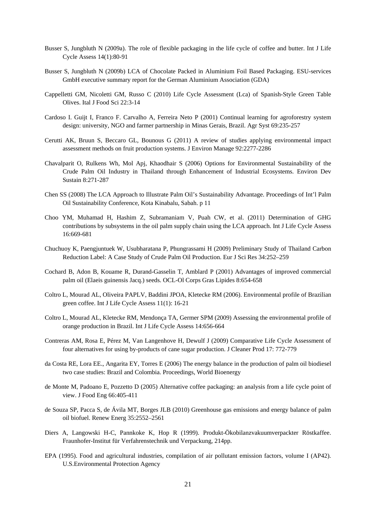- Busser S, Jungbluth N (2009a). The role of flexible packaging in the life cycle of coffee and butter. Int J Life Cycle Assess 14(1):80-91
- Busser S, Jungbluth N (2009b) LCA of Chocolate Packed in Aluminium Foil Based Packaging. ESU-services GmbH executive summary report for the German Aluminium Association (GDA)
- Cappelletti GM, Nicoletti GM, Russo C (2010) Life Cycle Assessment (Lca) of Spanish-Style Green Table Olives. Ital J Food Sci 22:3-14
- Cardoso I. Guijt I, Franco F. Carvalho A, Ferreira Neto P (2001) Continual learning for agroforestry system design: university, NGO and farmer partnership in Minas Gerais, Brazil. Agr Syst 69:235-257
- Cerutti AK, Bruun S, Beccaro GL, Bounous G (2011) A review of studies applying environmental impact assessment methods on fruit production systems. J Environ Manage 92:2277-2286
- Chavalparit O, Rulkens Wh, Mol Apj, Khaodhair S (2006) Options for Environmental Sustainability of the Crude Palm Oil Industry in Thailand through Enhancement of Industrial Ecosystems. Environ Dev Sustain 8:271-287
- Chen SS (2008) The LCA Approach to Illustrate Palm Oil's Sustainability Advantage. Proceedings of Int'l Palm Oil Sustainability Conference, Kota Kinabalu, Sabah. p 11
- Choo YM, Muhamad H, Hashim Z, Subramaniam V, Puah CW, et al. (2011) Determination of GHG contributions by subsystems in the oil palm supply chain using the LCA approach. Int J Life Cycle Assess 16:669-681
- Chuchuoy K, Paengjuntuek W, Usubharatana P, Phungrassami H (2009) Preliminary Study of Thailand Carbon Reduction Label: A Case Study of Crude Palm Oil Production. Eur J Sci Res 34:252–259
- Cochard B, Adon B, Kouame R, Durand-Gasselin T, Amblard P (2001) Advantages of improved commercial palm oil (Elaeis guinensis Jacq.) seeds. OCL-Ol Corps Gras Lipides 8:654-658
- Coltro L, Mourad AL, Oliveira PAPLV, Baddini JPOA, Kletecke RM (2006). Environmental profile of Brazilian green coffee. Int J Life Cycle Assess 11(1): 16-21
- Coltro L, Mourad AL, Kletecke RM, Mendonça TA, Germer SPM (2009) Assessing the environmental profile of orange production in Brazil. Int J Life Cycle Assess 14:656-664
- Contreras AM, Rosa E, Pérez M, Van Langenhove H, Dewulf J (2009) Comparative Life Cycle Assessment of four alternatives for using by-products of cane sugar production. J Cleaner Prod 17: 772-779
- da Costa RE, Lora EE., Angarita EY, Torres E (2006) The energy balance in the production of palm oil biodiesel two case studies: Brazil and Colombia. Proceedings, World Bioenergy
- de Monte M, Padoano E, Pozzetto D (2005) Alternative coffee packaging: an analysis from a life cycle point of view. J Food Eng 66:405-411
- de Souza SP, Pacca S, de Ávila MT, Borges JLB (2010) Greenhouse gas emissions and energy balance of palm oil biofuel. Renew Energ 35:2552–2561
- Diers A, Langowski H-C, Pannkoke K, Hop R (1999). Produkt-Ökobilanzvakuumverpackter Röstkaffee. Fraunhofer-Institut für Verfahrenstechnik und Verpackung, 214pp.
- EPA (1995). Food and agricultural industries, compilation of air pollutant emission factors, volume I (AP42). U.S.Environmental Protection Agency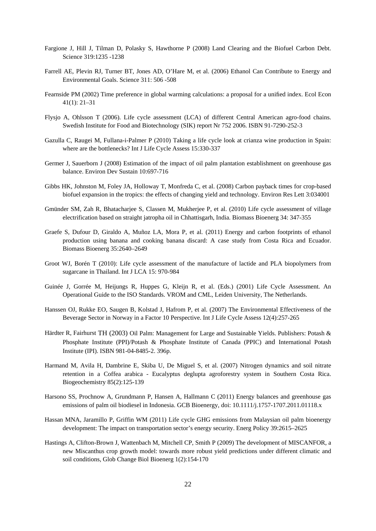- Fargione J, Hill J, Tilman D, Polasky S, Hawthorne P (2008) Land Clearing and the Biofuel Carbon Debt. Science 319:1235 -1238
- Farrell AE, Plevin RJ, Turner BT, Jones AD, O'Hare M, et al. (2006) Ethanol Can Contribute to Energy and Environmental Goals. Science 311: 506 -508
- Fearnside PM (2002) Time preference in global warming calculations: a proposal for a unified index. Ecol Econ 41(1): 21–31
- Flysjo A, Ohlsson T (2006). Life cycle assessment (LCA) of different Central American agro-food chains. Swedish Institute for Food and Biotechnology (SIK) report Nr 752 2006. ISBN 91-7290-252-3
- Gazulla C, Raugei M, Fullana-i-Palmer P (2010) Taking a life cycle look at crianza wine production in Spain: where are the bottlenecks? Int J Life Cycle Assess 15:330-337
- Germer J, Sauerborn J (2008) Estimation of the impact of oil palm plantation establishment on greenhouse gas balance. Environ Dev Sustain 10:697-716
- Gibbs HK, Johnston M, Foley JA, Holloway T, Monfreda C, et al. (2008) Carbon payback times for crop-based biofuel expansion in the tropics: the effects of changing yield and technology. Environ Res Lett 3:034001
- Gmünder SM, Zah R, Bhatacharjee S, Classen M, Mukherjee P, et al. (2010) Life cycle assessment of village electrification based on straight jatropha oil in Chhattisgarh, India. Biomass Bioenerg 34: 347-355
- Graefe S, Dufour D, Giraldo A, Muñoz LA, Mora P, et al. (2011) Energy and carbon footprints of ethanol production using banana and cooking banana discard: A case study from Costa Rica and Ecuador. Biomass Bioenerg 35:2640–2649
- Groot WJ, Borén T (2010): Life cycle assessment of the manufacture of lactide and PLA biopolymers from sugarcane in Thailand. Int J LCA 15: 970-984
- Guinée J, Gorrée M, Heijungs R, Huppes G, Kleijn R, et al. (Eds.) (2001) Life Cycle Assessment. An Operational Guide to the ISO Standards. VROM and CML, Leiden University, The Netherlands.
- Hanssen OJ, Rukke EO, Saugen B, Kolstad J, Hafrom P, et al. (2007) The Environmental Effectiveness of the Beverage Sector in Norway in a Factor 10 Perspective. Int J Life Cycle Assess 12(4):257-265
- Härdter R, Fairhurst TH (2003) Oil Palm: Management for Large and Sustainable Yields. Publishers: Potash & Phosphate Institute (PPI)/Potash & Phosphate Institute of Canada (PPIC) and International Potash Institute (IPI). ISBN 981-04-8485-2. 396p.
- Harmand M, Avila H, Dambrine E, Skiba U, De Miguel S, et al. (2007) Nitrogen dynamics and soil nitrate retention in a Coffea arabica - Eucalyptus deglupta agroforestry system in Southern Costa Rica. Biogeochemistry 85(2):125-139
- Harsono SS, Prochnow A, Grundmann P, Hansen A, Hallmann C (2011) Energy balances and greenhouse gas emissions of palm oil biodiesel in Indonesia. GCB Bioenergy, doi: 10.1111/j.1757-1707.2011.01118.x
- Hassan MNA, Jaramillo P, Griffin WM (2011) Life cycle GHG emissions from Malaysian oil palm bioenergy development: The impact on transportation sector's energy security. Energ Policy 39:2615–2625
- Hastings A, Clifton-Brown J, Wattenbach M, Mitchell CP, Smith P (2009) The development of MISCANFOR, a new Miscanthus crop growth model: towards more robust yield predictions under different climatic and soil conditions, Glob Change Biol Bioenerg 1(2):154-170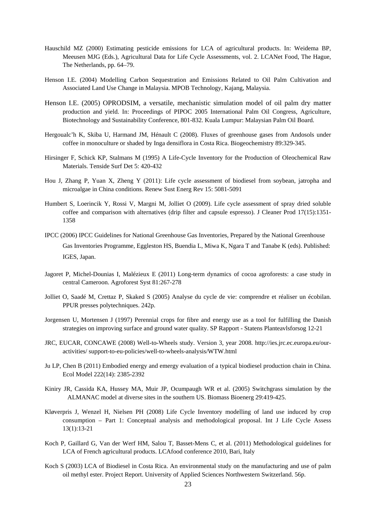- Hauschild MZ (2000) Estimating pesticide emissions for LCA of agricultural products. In: Weidema BP, Meeusen MJG (Eds.), Agricultural Data for Life Cycle Assessments, vol. 2. LCANet Food, The Hague, The Netherlands, pp. 64–79.
- Henson I.E. (2004) Modelling Carbon Sequestration and Emissions Related to Oil Palm Cultivation and Associated Land Use Change in Malaysia. MPOB Technology, Kajang, Malaysia.
- Henson I.E. (2005) OPRODSIM, a versatile, mechanistic simulation model of oil palm dry matter production and yield. In: Proceedings of PIPOC 2005 International Palm Oil Congress, Agriculture, Biotechnology and Sustainability Conference, 801-832. Kuala Lumpur: Malaysian Palm Oil Board.
- Hergoualc'h K, Skiba U, Harmand JM, Hénault C (2008). Fluxes of greenhouse gases from Andosols under coffee in monoculture or shaded by Inga densiflora in Costa Rica. Biogeochemistry 89:329-345.
- Hirsinger F, Schick KP, Stalmans M (1995) A Life-Cycle Inventory for the Production of Oleochemical Raw Materials. Tenside Surf Det 5: 420-432
- Hou J, Zhang P, Yuan X, Zheng Y (2011): Life cycle assessment of biodiesel from soybean, jatropha and microalgae in China conditions. Renew Sust Energ Rev 15: 5081-5091
- Humbert S, Loerincik Y, Rossi V, Margni M, Jolliet O (2009). Life cycle assessment of spray dried soluble coffee and comparison with alternatives (drip filter and capsule espresso). J Cleaner Prod 17(15):1351- 1358
- IPCC (2006) IPCC Guidelines for National Greenhouse Gas Inventories, Prepared by the National Greenhouse Gas Inventories Programme, Eggleston HS, Buendia L, Miwa K, Ngara T and Tanabe K (eds). Published: IGES, Japan.
- Jagoret P, Michel-Dounias I, Malézieux E (2011) Long-term dynamics of cocoa agroforests: a case study in central Cameroon. Agroforest Syst 81:267-278
- Jolliet O, Saadé M, Crettaz P, Skaked S (2005) Analyse du cycle de vie: comprendre et réaliser un écobilan. PPUR presses polytechniques. 242p.
- Jorgensen U, Mortensen J (1997) Perennial crops for fibre and energy use as a tool for fulfilling the Danish strategies on improving surface and ground water quality. SP Rapport - Statens Planteavlsforsog 12-21
- JRC, EUCAR, CONCAWE (2008) Well-to-Wheels study. Version 3, year 2008. [http://ies.jrc.ec.europa.eu/our](http://ies.jrc.ec.europa.eu/our-activities/)[activities/](http://ies.jrc.ec.europa.eu/our-activities/) support-to-eu-policies/well-to-wheels-analysis/WTW.html
- Ju LP, Chen B (2011) Embodied energy and emergy evaluation of a typical biodiesel production chain in China. Ecol Model 222(14): 2385-2392
- Kiniry JR, Cassida KA, Hussey MA, Muir JP, Ocumpaugh WR et al. (2005) Switchgrass simulation by the ALMANAC model at diverse sites in the southern US. Biomass Bioenerg 29:419-425.
- Kløverpris J, Wenzel H, Nielsen PH (2008) Life Cycle Inventory modelling of land use induced by crop consumption – Part 1: Conceptual analysis and methodological proposal. Int J Life Cycle Assess 13(1):13-21
- Koch P, Gaillard G, Van der Werf HM, Salou T, Basset-Mens C, et al. (2011) Methodological guidelines for LCA of French agricultural products. LCAfood conference 2010, Bari, Italy
- Koch S (2003) LCA of Biodiesel in Costa Rica. An environmental study on the manufacturing and use of palm oil methyl ester. Project Report. University of Applied Sciences Northwestern Switzerland. 56p.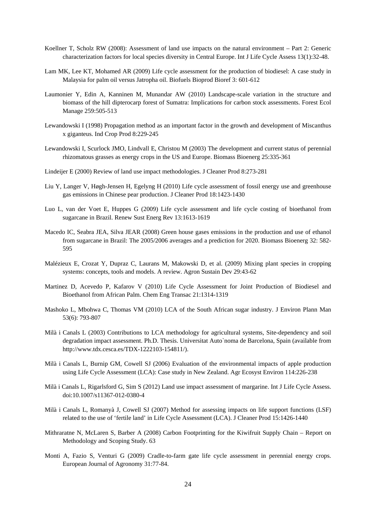- Koellner T, Scholz RW (2008): Assessment of land use impacts on the natural environment Part 2: Generic characterization factors for local species diversity in Central Europe. Int J Life Cycle Assess 13(1):32-48.
- Lam MK, Lee KT, Mohamed AR (2009) Life cycle assessment for the production of biodiesel: A case study in Malaysia for palm oil versus Jatropha oil. Biofuels Bioprod Bioref 3: 601-612
- Laumonier Y, Edin A, Kanninen M, Munandar AW (2010) Landscape-scale variation in the structure and biomass of the hill dipterocarp forest of Sumatra: Implications for carbon stock assessments. Forest Ecol Manage 259:505-513
- Lewandowski I (1998) Propagation method as an important factor in the growth and development of Miscanthus x giganteus. Ind Crop Prod 8:229-245
- Lewandowski I, Scurlock JMO, Lindvall E, Christou M (2003) The development and current status of perennial rhizomatous grasses as energy crops in the US and Europe. Biomass Bioenerg 25:335-361
- Lindeijer E (2000) Review of land use impact methodologies. J Cleaner Prod 8:273-281
- Liu Y, Langer V, Høgh-Jensen H, Egelyng H (2010) Life cycle assessment of fossil energy use and greenhouse gas emissions in Chinese pear production. J Cleaner Prod 18:1423-1430
- Luo L, van der Voet E, Huppes G (2009) Life cycle assessment and life cycle costing of bioethanol from sugarcane in Brazil. Renew Sust Energ Rev 13:1613-1619
- Macedo IC, Seabra JEA, Silva JEAR (2008) Green house gases emissions in the production and use of ethanol from sugarcane in Brazil: The 2005/2006 averages and a prediction for 2020. Biomass Bioenerg 32: 582- 595
- Malézieux E, Crozat Y, Dupraz C, Laurans M, Makowski D, et al. (2009) Mixing plant species in cropping systems: concepts, tools and models. A review. Agron Sustain Dev 29:43-62
- Martinez D, Acevedo P, Kafarov V (2010) Life Cycle Assessment for Joint Production of Biodiesel and Bioethanol from African Palm. Chem Eng Transac 21:1314-1319
- Mashoko L, Mbohwa C, Thomas VM (2010) LCA of the South African sugar industry. J Environ Plann Man 53(6): 793-807
- Milà i Canals L (2003) Contributions to LCA methodology for agricultural systems, Site-dependency and soil degradation impact assessment. Ph.D. Thesis. Universitat Auto`noma de Barcelona, Spain (available from http://www.tdx.cesca.es/TDX-1222103-154811/).
- Milà i Canals L, Burnip GM, Cowell SJ (2006) Evaluation of the environmental impacts of apple production using Life Cycle Assessment (LCA): Case study in New Zealand. Agr Ecosyst Environ 114:226-238
- Milà i Canals L, Rigarlsford G, Sim S (2012) Land use impact assessment of margarine. Int J Life Cycle Assess. doi:10.1007/s11367-012-0380-4
- Milà i Canals L, Romanyà J, Cowell SJ (2007) Method for assessing impacts on life support functions (LSF) related to the use of 'fertile land' in Life Cycle Assessment (LCA). J Cleaner Prod 15:1426-1440
- Mithraratne N, McLaren S, Barber A (2008) Carbon Footprinting for the Kiwifruit Supply Chain Report on Methodology and Scoping Study. 63
- Monti A, Fazio S, Venturi G (2009) Cradle-to-farm gate life cycle assessment in perennial energy crops. European Journal of Agronomy 31:77-84.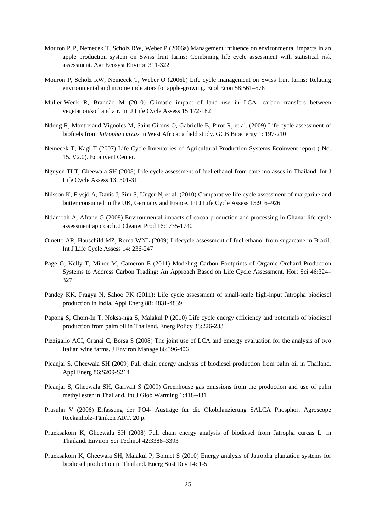- Mouron PJP, Nemecek T, Scholz RW, Weber P (2006a) Management influence on environmental impacts in an apple production system on Swiss fruit farms: Combining life cycle assessment with statistical risk assessment. Agr Ecosyst Environ 311-322
- Mouron P, Scholz RW, Nemecek T, Weber O (2006b) Life cycle management on Swiss fruit farms: Relating environmental and income indicators for apple-growing. Ecol Econ 58:561–578
- Müller-Wenk R, Brandão M (2010) Climatic impact of land use in LCA—carbon transfers between vegetation/soil and air. Int J Life Cycle Assess 15:172-182
- Ndong R, Montrejaud-Vignoles M, Saint Girons O, Gabrielle B, Pirot R, et al. (2009) Life cycle assessment of biofuels from *Jatropha curcas* in West Africa: a field study. GCB Bioenergy 1: 197-210
- Nemecek T, Kägi T (2007) Life Cycle Inventories of Agricultural Production Systems-Ecoinvent report ( No. 15. V2.0). Ecoinvent Center.
- Nguyen TLT, Gheewala SH (2008) Life cycle assessment of fuel ethanol from cane molasses in Thailand. Int J Life Cycle Assess 13: 301-311
- Nilsson K, Flysjö A, Davis J, Sim S, Unger N, et al. (2010) Comparative life cycle assessment of margarine and butter consumed in the UK, Germany and France. Int J Life Cycle Assess 15:916–926
- Ntiamoah A, Afrane G (2008) Environmental impacts of cocoa production and processing in Ghana: life cycle assessment approach. J Cleaner Prod 16:1735-1740
- Ometto AR, Hauschild MZ, Roma WNL (2009) Lifecycle assessment of fuel ethanol from sugarcane in Brazil. Int J Life Cycle Assess 14: 236-247
- Page G, Kelly T, Minor M, Cameron E (2011) Modeling Carbon Footprints of Organic Orchard Production Systems to Address Carbon Trading: An Approach Based on Life Cycle Assessment. Hort Sci 46:324– 327
- Pandey KK, Pragya N, Sahoo PK (2011): Life cycle assessment of small-scale high-input Jatropha biodiesel production in India. Appl Energ 88: 4831-4839
- Papong S, Chom-In T, Noksa-nga S, Malakul P (2010) Life cycle energy efficiency and potentials of biodiesel production from palm oil in Thailand. Energ Policy 38:226-233
- Pizzigallo ACI, Granai C, Borsa S (2008) The joint use of LCA and emergy evaluation for the analysis of two Italian wine farms. J Environ Manage 86:396-406
- Pleanjai S, Gheewala SH (2009) Full chain energy analysis of biodiesel production from palm oil in Thailand. Appl Energ 86:S209-S214
- Pleanjai S, Gheewala SH, Garivait S (2009) Greenhouse gas emissions from the production and use of palm methyl ester in Thailand. Int J Glob Warming 1:418–431
- Prasuhn V (2006) Erfassung der PO4- Austräge für die Ökobilanzierung SALCA Phosphor. Agroscope Reckanholz-Tänikon ART. 20 p.
- Prueksakorn K, Gheewala SH (2008) Full chain energy analysis of biodiesel from Jatropha curcas L. in Thailand. Environ Sci Technol 42:3388–3393
- Prueksakorn K, Gheewala SH, Malakul P, Bonnet S (2010) Energy analysis of Jatropha plantation systems for biodiesel production in Thailand. Energ Sust Dev 14: 1-5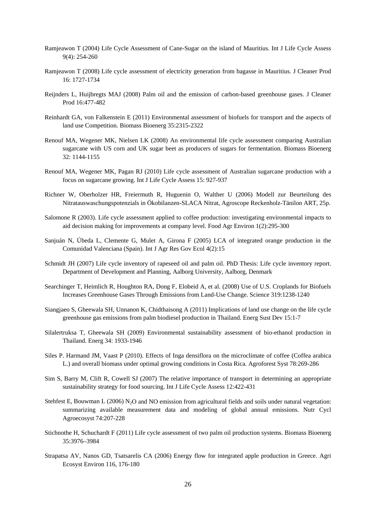- Ramjeawon T (2004) Life Cycle Assessment of Cane-Sugar on the island of Mauritius. Int J Life Cycle Assess 9(4): 254-260
- Ramjeawon T (2008) Life cycle assessment of electricity generation from bagasse in Mauritius. J Cleaner Prod 16: 1727-1734
- Reijnders L, Huijbregts MAJ (2008) Palm oil and the emission of carbon-based greenhouse gases. J Cleaner Prod 16:477-482
- Reinhardt GA, von Falkenstein E (2011) Environmental assessment of biofuels for transport and the aspects of land use Competition. Biomass Bioenerg 35:2315-2322
- Renouf MA, Wegener MK, Nielsen LK (2008) An environmental life cycle assessment comparing Australian sugarcane with US corn and UK sugar beet as producers of sugars for fermentation. Biomass Bioenerg 32: 1144-1155
- Renouf MA, Wegener MK, Pagan RJ (2010) Life cycle assessment of Australian sugarcane production with a focus on sugarcane growing. Int J Life Cycle Assess 15: 927-937
- Richner W, Oberholzer HR, Freiermuth R, Huguenin O, Walther U (2006) Modell zur Beurteilung des Nitratauswaschungspotenzials in Ökobilanzen-SLACA Nitrat, Agroscope Reckenholz-Tänilon ART, 25p.
- Salomone R (2003). Life cycle assessment applied to coffee production: investigating environmental impacts to aid decision making for improvements at company level. Food Agr Environ 1(2):295-300
- Sanjuán N, Úbeda L, Clemente G, Mulet A, Girona F (2005) LCA of integrated orange production in the Comunidad Valenciana (Spain). Int J Agr Res Gov Ecol 4(2):15
- Schmidt JH (2007) Life cycle inventory of rapeseed oil and palm oil. PhD Thesis: Life cycle inventory report. Department of Development and Planning, Aalborg University, Aalborg, Denmark
- Searchinger T, Heimlich R, Houghton RA, Dong F, Elobeid A, et al. (2008) Use of U.S. Croplands for Biofuels Increases Greenhouse Gases Through Emissions from Land-Use Change. Science 319:1238-1240
- Siangjaeo S, Gheewala SH, Unnanon K, Chidthaisong A (2011) Implications of land use change on the life cycle greenhouse gas emissions from palm biodiesel production in Thailand. Energ Sust Dev 15:1-7
- Silalertruksa T, Gheewala SH (2009) Environmental sustainability assessment of bio-ethanol production in Thailand. Energ 34: 1933-1946
- Siles P. Harmand JM, Vaast P (2010). Effects of Inga densiflora on the microclimate of coffee (Coffea arabica L.) and overall biomass under optimal growing conditions in Costa Rica. Agroforest Syst 78:269-286
- Sim S, Barry M, Clift R, Cowell SJ (2007) The relative importance of transport in determining an appropriate sustainability strategy for food sourcing. Int J Life Cycle Assess 12:422-431
- Stehfest E, Bouwman L (2006)  $N_2O$  and NO emission from agricultural fields and soils under natural vegetation: summarizing available measurement data and modeling of global annual emissions. Nutr Cycl Agroecosyst 74:207-228
- Stichnothe H, Schuchardt F (2011) Life cycle assessment of two palm oil production systems. Biomass Bioenerg 35:3976–3984
- Strapatsa AV, Nanos GD, Tsatsarelis CA (2006) Energy flow for integrated apple production in Greece. Agri Ecosyst Environ 116, 176-180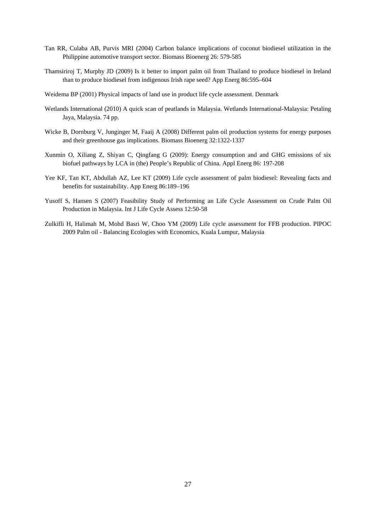- Tan RR, Culaba AB, Purvis MRI (2004) Carbon balance implications of coconut biodiesel utilization in the Philippine automotive transport sector. Biomass Bioenerg 26: 579-585
- Thamsiriroj T, Murphy JD (2009) Is it better to import palm oil from Thailand to produce biodiesel in Ireland than to produce biodiesel from indigenous Irish rape seed? App Energ 86:595–604
- Weidema BP (2001) Physical impacts of land use in product life cycle assessment. Denmark
- Wetlands International (2010) A quick scan of peatlands in Malaysia. Wetlands International-Malaysia: Petaling Jaya, Malaysia. 74 pp.
- Wicke B, Dornburg V, Junginger M, Faaij A (2008) Different palm oil production systems for energy purposes and their greenhouse gas implications. Biomass Bioenerg 32:1322-1337
- Xunmin O, Xiliang Z, Shiyan C, Qingfang G (2009): Energy consumption and and GHG emissions of six biofuel pathways by LCA in (the) People's Republic of China. Appl Energ 86: 197-208
- Yee KF, Tan KT, Abdullah AZ, Lee KT (2009) Life cycle assessment of palm biodiesel: Revealing facts and benefits for sustainability. App Energ 86:189–196
- Yusoff S, Hansen S (2007) Feasibility Study of Performing an Life Cycle Assessment on Crude Palm Oil Production in Malaysia. Int J Life Cycle Assess 12:50-58
- Zulkifli H, Halimah M, Mohd Basri W, Choo YM (2009) Life cycle assessment for FFB production. PIPOC 2009 Palm oil - Balancing Ecologies with Economics, Kuala Lumpur, Malaysia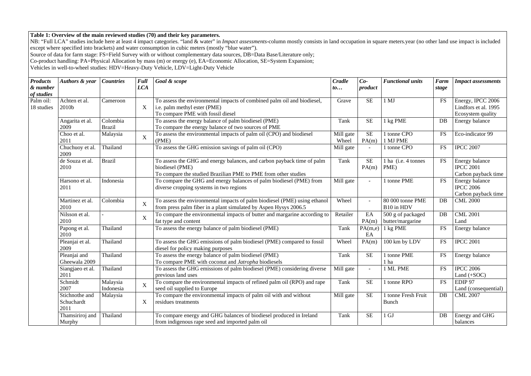# **Table 1: Overview of the main reviewed studies (70) and their key parameters.**

NB: "Full LCA" studies include here at least 4 impact categories. "land & water" in *Impact assessments*-column mostly consists in land occupation in square meters.year (no other land use impact is included except where specified into brackets) and water consumption in cubic meters (mostly "blue water").

Source of data for farm stage: FS=Field Survey with or without complementary data sources, DB=Data Base/Literature only;

Co-product handling: PA=Physical Allocation by mass (m) or energy (e), EA=Economic Allocation, SE=System Expansion;

Vehicles in well-to-wheel studies: HDV=Heavy-Duty Vehicle, LDV=Light-Duty Vehicle

| <b>Products</b>         | Authors & year                       | <b>Countries</b>          | Full         | Goal & scope                                                                                                                                                | Cradle              | $Co-$              | <b>Functional units</b>               | Farm      | <b>Impact assessments</b>                                      |
|-------------------------|--------------------------------------|---------------------------|--------------|-------------------------------------------------------------------------------------------------------------------------------------------------------------|---------------------|--------------------|---------------------------------------|-----------|----------------------------------------------------------------|
| & number<br>of studies  |                                      |                           | <b>LCA</b>   |                                                                                                                                                             | $\mathbf{10} \dots$ | product            |                                       | stage     |                                                                |
| Palm oil:<br>18 studies | Achten et al.<br>2010b               | Cameroon                  | X            | To assess the environmental impacts of combined palm oil and biodiesel,<br>i.e. palm methyl ester (PME)<br>To compare PME with fossil diesel                | Grave               | <b>SE</b>          | $1$ MJ                                | <b>FS</b> | Energy, IPCC 2006<br>Lindfors et al. 1995<br>Ecosystem quality |
|                         | Angarita et al.<br>2009              | Colombia<br><b>Brazil</b> |              | To assess the energy balance of palm biodiesel (PME)<br>To compare the energy balance of two sources of PME                                                 | Tank                | <b>SE</b>          | 1 kg PME                              | $DB$      | Energy balance                                                 |
|                         | Choo et al.<br>2011                  | Malaysia                  | $\mathbf{X}$ | To assess the environmental impacts of palm oil (CPO) and biodiesel<br>(PME)                                                                                | Mill gate<br>Wheel  | <b>SE</b><br>PA(m) | 1 tonne CPO<br>1 MJ PME               | <b>FS</b> | Eco-indicator 99                                               |
|                         | Chuchuoy et al.<br>2009              | Thailand                  |              | To assess the GHG emission savings of palm oil (CPO)                                                                                                        | Mill gate           | $\sim$             | 1 tonne CPO                           | <b>FS</b> | <b>IPCC 2007</b>                                               |
|                         | de Souza et al.<br>2010              | Brazil                    |              | To assess the GHG and energy balances, and carbon payback time of palm<br>biodiesel (PME)<br>To compare the studied Brazilian PME to PME from other studies | Tank                | SE<br>PA(m)        | 1 ha (i.e. 4 tonnes)<br>PME)          | FS        | Energy balance<br><b>IPCC 2001</b><br>Carbon payback time      |
|                         | Harsono et al.<br>2011               | Indonesia                 |              | To compare the GHG and energy balances of palm biodiesel (PME) from<br>diverse cropping systems in two regions                                              | Mill gate           | $\sim$             | 1 tonne PME                           | FS        | Energy balance<br><b>IPCC 2006</b><br>Carbon payback time      |
|                         | Martinez et al.<br>2010              | Colombia                  | $\mathbf X$  | To assess the environmental impacts of palm biodiesel (PME) using ethanol<br>from press palm fiber in a plant simulated by Aspen Hysys 2006.5               | Wheel               | $\sim$             | 80 000 tonne PME<br>B10 in HDV        | $DB$      | <b>CML 2000</b>                                                |
|                         | Nilsson et al.<br>2010               |                           | X            | To compare the environmental impacts of butter and margarine according to<br>fat type and content                                                           | Retailer            | EA<br>PA(m)        | 500 g of packaged<br>butter/margarine | $DB$      | <b>CML 2001</b><br>Land                                        |
|                         | Papong et al.<br>2010                | Thailand                  |              | To assess the energy balance of palm biodiesel (PME)                                                                                                        | Tank                | PA(m,e)<br>EA      | 1 kg PME                              | <b>FS</b> | Energy balance                                                 |
|                         | Pleanjai et al.<br>2009              | Thailand                  |              | To assess the GHG emissions of palm biodiesel (PME) compared to fossil<br>diesel for policy making purposes                                                 | Wheel               | PA(m)              | 100 km by LDV                         | <b>FS</b> | <b>IPCC 2001</b>                                               |
|                         | Pleanjai and<br>Gheewala 2009        | Thailand                  |              | To assess the energy balance of palm biodiesel (PME)<br>To compare PME with coconut and Jatropha biodiesels                                                 | Tank                | <b>SE</b>          | 1 tonne PME<br>1 ha                   | FS        | Energy balance                                                 |
|                         | Siangjaeo et al.<br>2011             | Thailand                  |              | To assess the GHG emissions of palm biodiesel (PME) considering diverse<br>previous land uses                                                               | Mill gate           | $\sim$             | 1 ML PME                              | <b>FS</b> | <b>IPCC 2006</b><br>Land (+SOC)                                |
|                         | Schmidt<br>2007                      | Malaysia<br>Indonesia     | X            | To compare the environmental impacts of refined palm oil (RPO) and rape<br>seed oil supplied to Europe                                                      | Tank                | <b>SE</b>          | 1 tonne RPO                           | <b>FS</b> | EDIP <sub>97</sub><br>Land (consequential)                     |
|                         | Stichnothe and<br>Schuchardt<br>2011 | Malaysia                  | X            | To compare the environmental impacts of palm oil with and without<br>residues treatments                                                                    | Mill gate           | <b>SE</b>          | 1 tonne Fresh Fruit<br>Bunch          | $DB$      | <b>CML 2007</b>                                                |
|                         | Thamsiriroj and<br>Murphy            | Thailand                  |              | To compare energy and GHG balances of biodiesel produced in Ireland<br>from indigenous rape seed and imported palm oil                                      | Tank                | <b>SE</b>          | 1 <sub>GJ</sub>                       | DB        | Energy and GHG<br>balances                                     |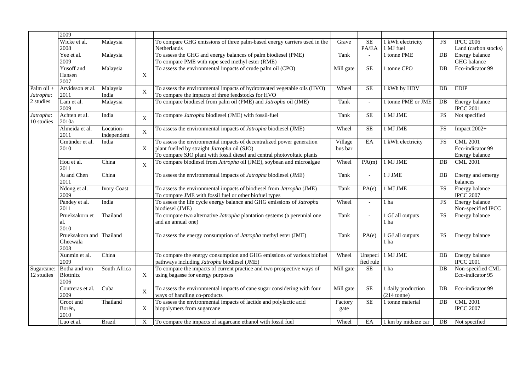|                          | 2009                                         |                          |             |                                                                                                                                                                                                  |                    |                          |                                             |                        |                                                       |
|--------------------------|----------------------------------------------|--------------------------|-------------|--------------------------------------------------------------------------------------------------------------------------------------------------------------------------------------------------|--------------------|--------------------------|---------------------------------------------|------------------------|-------------------------------------------------------|
|                          | Wicke et al.<br>2008                         | Malaysia                 |             | To compare GHG emissions of three palm-based energy carriers used in the<br>Netherlands                                                                                                          | Grave              | <b>SE</b><br>PA/EA       | 1 kWh electricity<br>1 MJ fuel              | ${\rm FS}$             | <b>IPCC 2006</b><br>Land (carbon stocks)              |
|                          | Yee et al.<br>2009                           | Malaysia                 |             | To assess the GHG and energy balances of palm biodiesel (PME)<br>To compare PME with rape seed methyl ester (RME)                                                                                | Tank               |                          | 1 tonne PME                                 | DB                     | Energy balance<br>GHG balance                         |
|                          | Yusoff and<br>Hansen<br>2007                 | Malaysia                 | X           | To assess the environmental impacts of crude palm oil (CPO)                                                                                                                                      | Mill gate          | <b>SE</b>                | 1 tonne CPO                                 | DB                     | Eco-indicator 99                                      |
| Palm oil +<br>Jatropha:  | Arvidsson et al.<br>2011                     | Malaysia<br>India        | X           | To assess the environmental impacts of hydrotreated vegetable oils (HVO)<br>To compare the impacts of three feedstocks for HVO                                                                   | Wheel              | <b>SE</b>                | 1 kWh by HDV                                | DB                     | $\mathop{\rm EDIP}\nolimits$                          |
| 2 studies                | Lam et al.<br>2009                           | Malaysia                 |             | To compare biodiesel from palm oil (PME) and <i>Jatropha</i> oil (JME)                                                                                                                           | Tank               | $\sim$                   | 1 tonne PME or JME                          | DB                     | Energy balance<br><b>IPCC 2001</b>                    |
| Jatropha:<br>10 studies  | Achten et al.<br>2010a                       | India                    | $\mathbf X$ | To compare Jatropha biodiesel (JME) with fossil-fuel                                                                                                                                             | Tank               | <b>SE</b>                | 1 MJ JME                                    | $\mathop{\mathrm{FS}}$ | Not specified                                         |
|                          | Almeida et al.<br>2011                       | Location-<br>independent | $\mathbf X$ | To assess the environmental impacts of Jatropha biodiesel (JME)                                                                                                                                  | Wheel              | SE                       | 1 MJ JME                                    | ${\rm FS}$             | Impact 2002+                                          |
|                          | Gmünder et al.<br>2010                       | India                    | X           | To assess the environmental impacts of decentralized power generation<br>plant fuelled by straight Jatropha oil (SJO)<br>To compare SJO plant with fossil diesel and central photovoltaic plants | Village<br>bus bar | EA                       | 1 kWh electricity                           | <b>FS</b>              | <b>CML 2001</b><br>Eco-indicator 99<br>Energy balance |
|                          | Hou et al.<br>2011                           | China                    | $\mathbf X$ | To compare biodiesel from Jatropha oil (JME), soybean and microalgae                                                                                                                             | Wheel              | PA(m)                    | 1 MJ JME                                    | DB                     | <b>CML 2001</b>                                       |
|                          | Ju and Chen<br>2011                          | China                    |             | To assess the environmental impacts of Jatropha biodiesel (JME)                                                                                                                                  | Tank               | $\sim$                   | 1 J JME                                     | DB                     | Energy and emergy<br>balances                         |
|                          | Ndong et al.<br>2009                         | <b>Ivory Coast</b>       |             | To assess the environmental impacts of biodiesel from Jatropha (JME)<br>To compare JME with fossil fuel or other biofuel types                                                                   | Tank               | PA(e)                    | 1 MJ JME                                    | FS                     | Energy balance<br><b>IPCC 2007</b>                    |
|                          | Pandey et al.<br>2011                        | India                    |             | To assess the life cycle energy balance and GHG emissions of Jatropha<br>biodiesel (JME)                                                                                                         | Wheel              | $\overline{\phantom{a}}$ | 1 ha                                        | <b>FS</b>              | Energy balance<br>Non-specified IPCC                  |
|                          | Prueksakorn et<br>al.<br>2010                | Thailand                 |             | To compare two alternative Jatropha plantation systems (a perennial one<br>and an annual one)                                                                                                    | Tank               |                          | 1 GJ all outputs<br>1 ha                    | FS                     | <b>Energy balance</b>                                 |
|                          | Prueksakorn and Thailand<br>Gheewala<br>2008 |                          |             | To assess the energy consumption of Jatropha methyl ester (JME)                                                                                                                                  | Tank               | PA(e)                    | 1 GJ all outputs<br>1 ha                    | <b>FS</b>              | Energy balance                                        |
|                          | Xunmin et al.<br>2009                        | China                    |             | To compare the energy consumption and GHG emissions of various biofuel<br>pathways including Jatropha biodiesel (JME)                                                                            | Wheel              | Unspeci<br>fied rule     | 1 MJ JME                                    | DB                     | Energy balance<br><b>IPCC 2001</b>                    |
| Sugarcane:<br>12 studies | Botha and von<br>Blottnitz<br>2006           | South Africa             | X           | To compare the impacts of current practice and two prospective ways of<br>using bagasse for energy purposes                                                                                      | Mill gate          | SE                       | 1 ha                                        | DB                     | Non-specified CML<br>Eco-indicator 95                 |
|                          | Contreras et al.<br>2009                     | Cuba                     | $\mathbf X$ | To assess the environmental impacts of cane sugar considering with four<br>ways of handling co-products                                                                                          | Mill gate          | SE                       | 1 daily production<br>$(214 \text{ tonne})$ | DB                     | Eco-indicator 99                                      |
|                          | Groot and<br>Borén,<br>2010                  | Thailand                 | X           | To assess the environmental impacts of lactide and polylactic acid<br>biopolymers from sugarcane                                                                                                 | Factory<br>gate    | <b>SE</b>                | $\overline{1}$ tonne material               | $\overline{DB}$        | <b>CML 2001</b><br><b>IPCC 2007</b>                   |
|                          | Luo et al.                                   | <b>Brazil</b>            | X           | To compare the impacts of sugarcane ethanol with fossil fuel                                                                                                                                     | Wheel              | EA                       | 1 km by midsize car                         | DB                     | Not specified                                         |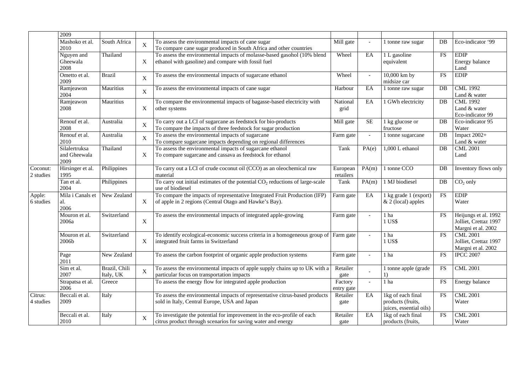|                       | 2009                                  |                            |              |                                                                                                                                         |                       |                |                                                                   |             |                                                                     |
|-----------------------|---------------------------------------|----------------------------|--------------|-----------------------------------------------------------------------------------------------------------------------------------------|-----------------------|----------------|-------------------------------------------------------------------|-------------|---------------------------------------------------------------------|
|                       | Mashoko et al.<br>2010                | South Africa               | $\mathbf X$  | To assess the environmental impacts of cane sugar<br>To compare cane sugar produced in South Africa and other countries                 | Mill gate             | $\overline{a}$ | 1 tonne raw sugar                                                 | DB          | Eco-indicator '99                                                   |
|                       | Nguyen and<br>Gheewala<br>2008        | Thailand                   | $\mathbf{X}$ | To assess the environmental impacts of molasse-based gasohol (10% blend<br>ethanol with gasoline) and compare with fossil fuel          | Wheel                 | EA             | 1 L gasoline<br>equivalent                                        | <b>FS</b>   | <b>EDIP</b><br>Energy balance<br>Land                               |
|                       | Ometto et al.<br>2009                 | <b>Brazil</b>              | $\mathbf X$  | To assess the environmental impacts of sugarcane ethanol                                                                                | Wheel                 | $\sim$         | 10,000 km by<br>midsize car                                       | FS          | <b>EDIP</b>                                                         |
|                       | Ramjeawon<br>2004                     | Mauritius                  | X            | To assess the environmental impacts of cane sugar                                                                                       | Harbour               | EA             | 1 tonne raw sugar                                                 | DB          | <b>CML 1992</b><br>Land & water                                     |
|                       | Ramjeawon<br>2008                     | Mauritius                  | X            | To compare the environmental impacts of bagasse-based electricity with<br>other systems                                                 | National<br>grid      | EA             | 1 GWh electricity                                                 | DB          | <b>CML 1992</b><br>Land & water<br>Eco-indicator 99                 |
|                       | Renouf et al.<br>2008                 | Australia                  | $\mathbf X$  | To carry out a LCI of sugarcane as feedstock for bio-products<br>To compare the impacts of three feedstock for sugar production         | Mill gate             | <b>SE</b>      | 1 kg glucose or<br>fructose                                       | DB          | Eco-indicator 95<br>Water                                           |
|                       | Renouf et al.<br>2010                 | Australia                  | $\mathbf X$  | To assess the environmental impacts of sugarcane<br>To compare sugarcane impacts depending on regional differences                      | Farm gate             | $\sim$         | 1 tonne sugarcane                                                 | DB          | Impact 2002+<br>Land & water                                        |
|                       | Silalertruksa<br>and Gheewala<br>2009 | Thailand                   | $\mathbf{X}$ | To assess the environmental impacts of sugarcane ethanol<br>To compare sugarcane and cassava as feedstock for ethanol                   | Tank                  | PA(e)          | 1,000 L ethanol                                                   | DB          | <b>CML 2001</b><br>Land                                             |
| Coconut:<br>2 studies | Hirsinger et al.<br>1995              | Philippines                |              | To carry out a LCI of crude coconut oil (CCO) as an oleochemical raw<br>material                                                        | European<br>retailers | PA(m)          | 1 tonne CCO                                                       | DB          | Inventory flows only                                                |
|                       | Tan et al.<br>2004                    | Philippines                |              | To carry out initial estimates of the potential $CO2$ reductions of large-scale<br>use of biodiesel                                     | Tank                  | PA(m)          | 1 MJ biodiesel                                                    | DB          | $CO2$ only                                                          |
| Apple:<br>6 studies   | Mila i Canals et<br>al.<br>2006       | New Zealand                | $\mathbf{X}$ | To compare the impacts of representative Integrated Fruit Production (IFP)<br>of apple in 2 regions (Central Otago and Hawke's Bay).    | Farm gate             | EA             | 1 kg grade 1 (export)<br>& 2 (local) apples                       | $_{\rm FS}$ | <b>EDIP</b><br>Water                                                |
|                       | Mouron et al.<br>2006a                | Switzerland                | X            | To assess the environmental impacts of integrated apple-growing                                                                         | Farm gate             | $\overline{a}$ | 1 ha<br>1 US\$                                                    | <b>FS</b>   | Heijungs et al. 1992<br>Jolliet, Crettaz 1997<br>Margni et al. 2002 |
|                       | Mouron et al.<br>2006b                | Switzerland                | X            | To identify ecological-economic success criteria in a homogeneous group of Farm gate<br>integrated fruit farms in Switzerland           |                       |                | 1 ha<br>1 US\$                                                    | <b>FS</b>   | <b>CML 2001</b><br>Jolliet, Crettaz 1997<br>Margni et al. 2002      |
|                       | Page<br>2011                          | New Zealand                |              | To assess the carbon footprint of organic apple production systems                                                                      | Farm gate             | $\sim$         | 1 ha                                                              | <b>FS</b>   | <b>IPCC 2007</b>                                                    |
|                       | Sim et al.<br>2007                    | Brazil, Chili<br>Italy, UK | $\mathbf X$  | To assess the environmental impacts of apple supply chains up to UK with a<br>particular focus on transportation impacts                | Retailer<br>gate      |                | 1 tonne apple (grade<br>1)                                        | <b>FS</b>   | <b>CML 2001</b>                                                     |
|                       | Strapatsa et al.<br>2006              | Greece                     |              | To assess the energy flow for integrated apple production                                                                               | Factory<br>entry gate | $\overline{a}$ | 1 ha                                                              | <b>FS</b>   | Energy balance                                                      |
| Citrus:<br>4 studies  | Beccali et al.<br>2009                | Italy                      |              | To assess the environmental impacts of representative citrus-based products<br>sold in Italy, Central Europe, USA and Japan             | Retailer<br>gate      | EA             | 1kg of each final<br>products (fruits,<br>juices, essential oils) | <b>FS</b>   | <b>CML 2001</b><br>Water                                            |
|                       | Beccali et al.<br>2010                | Italy                      | $\mathbf X$  | To investigate the potential for improvement in the eco-profile of each<br>citrus product through scenarios for saving water and energy | Retailer<br>gate      | EA             | 1kg of each final<br>products (fruits,                            | <b>FS</b>   | <b>CML 2001</b><br>Water                                            |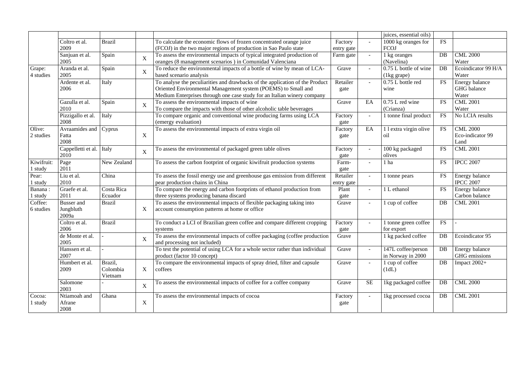|            |                    |                    |                           |                                                                              |            |                          | juices, essential oils) |                        |                       |
|------------|--------------------|--------------------|---------------------------|------------------------------------------------------------------------------|------------|--------------------------|-------------------------|------------------------|-----------------------|
|            | Coltro et al.      | <b>Brazil</b>      |                           | To calculate the economic flows of frozen concentrated orange juice          | Factory    |                          | 1000 kg oranges for     | <b>FS</b>              |                       |
|            | 2009               |                    |                           | (FCOJ) in the two major regions of production in Sao Paulo state             | entry gate |                          | <b>FCOJ</b>             |                        |                       |
|            | Sanjuan et al.     | Spain              | $\mathbf X$               | To assess the environmental impacts of typical integrated production of      | Farm gate  | $\sim$                   | 1 kg oranges            | DB                     | <b>CML 2000</b>       |
|            | 2005               |                    |                           | oranges (8 management scenarios) in Comunidad Valenciana                     |            |                          | (Navelina)              |                        | Water                 |
| Grape:     | Aranda et al.      | Spain              | $\mathbf X$               | To reduce the environmental impacts of a bottle of wine by mean of LCA-      | Grave      | $\overline{a}$           | 0.75 L bottle of wine   | DB                     | Ecoindicator 99 H/A   |
| 4 studies  | 2005               |                    |                           | based scenario analysis                                                      |            |                          | (1kg grape)             |                        | Water                 |
|            | Ardente et al.     | Italy              |                           | To analyse the peculiarities and drawbacks of the application of the Product | Retailer   | $\sim$                   | 0.75 L bottle red       | $\mathop{\text{FS}}$   | Energy balance        |
|            | 2006               |                    |                           | Oriented Environmental Management system (POEMS) to Small and                | gate       |                          | wine                    |                        | GHG balance           |
|            |                    |                    |                           | Medium Enterprises through one case study for an Italian winery company      |            |                          |                         |                        | Water                 |
|            | Gazulla et al.     | Spain              | $\mathbf X$               | To assess the environmental impacts of wine                                  | Grave      | EA                       | 0.75 L red wine         | <b>FS</b>              | <b>CML 2001</b>       |
|            | 2010               |                    |                           | To compare the impacts with those of other alcoholic table beverages         |            |                          | (Crianza)               |                        | Water                 |
|            | Pizzigallo et al.  | Italy              |                           | To compare organic and conventional wine producing farms using LCA           | Factory    | $\sim$                   | 1 tonne final product   | <b>FS</b>              | No LCIA results       |
|            | 2008               |                    |                           | (emergy evaluation)                                                          | gate       |                          |                         |                        |                       |
| Olive:     | Avraamides and     | Cyprus             |                           | To assess the environmental impacts of extra virgin oil                      | Factory    | EA                       | 1 l extra virgin olive  | $\mathop{\text{FS}}$   | <b>CML 2000</b>       |
| 2 studies  | Fatta              |                    | $\boldsymbol{\mathrm{X}}$ |                                                                              | gate       |                          | oil                     |                        | Eco-indicator 99      |
|            | 2008               |                    |                           |                                                                              |            |                          |                         |                        | Land                  |
|            | Cappelletti et al. | Italy              | $\mathbf X$               | To assess the environmental of packaged green table olives                   | Factory    | $\sim$                   | 100 kg packaged         | <b>FS</b>              | <b>CML 2001</b>       |
|            | 2010               |                    |                           |                                                                              | gate       |                          | olives                  |                        |                       |
| Kiwifruit: | Page               | <b>New Zealand</b> |                           | To assess the carbon footprint of organic kiwifruit production systems       | Farm-      | $\sim$                   | 1 ha                    | FS                     | <b>IPCC 2007</b>      |
| 1 study    | 2011               |                    |                           |                                                                              | gate       |                          |                         |                        |                       |
| Pear:      | Liu et al.         | China              |                           | To assess the fossil energy use and greenhouse gas emission from different   | Retailer   | $\sim$                   | 1 tonne pears           | <b>FS</b>              | <b>Energy balance</b> |
| 1 study    | 2010               |                    |                           | pear production chains in China                                              | entry gate |                          |                         |                        | <b>IPCC 2007</b>      |
| Banana:    | Graefe et al.      | Costa Rica         |                           | To compare the energy and carbon footprints of ethanol production from       | Plant      | $\sim$                   | 1 L ethanol             | ${\rm FS}$             | Energy balance        |
| 1 study    | 2011               | Ecuador            |                           | three systems producing banana discard                                       | gate       |                          |                         |                        | Carbon balance        |
| Coffee:    | <b>Busser</b> and  | <b>Brazil</b>      |                           | To assess the environmental impacts of flexible packaging taking into        | Grave      |                          | 1 cup of coffee         | DB                     | <b>CML 2001</b>       |
| 6 studies  | Jungbluth          |                    | $\boldsymbol{\mathrm{X}}$ | account consumption patterns at home or office                               |            |                          |                         |                        |                       |
|            | 2009a              |                    |                           |                                                                              |            |                          |                         |                        |                       |
|            | Coltro et al.      | <b>Brazil</b>      |                           | To conduct a LCI of Brazilian green coffee and compare different cropping    | Factory    | $\blacksquare$           | 1 tonne green coffee    | $\mathop{\mathrm{FS}}$ |                       |
|            | 2006               |                    |                           | systems                                                                      | gate       |                          | for export              |                        |                       |
|            | de Monte et al.    |                    | X                         | To assess the environmental impacts of coffee packaging (coffee production   | Grave      |                          | 1 kg packed coffee      | DB                     | Ecoindicator 95       |
|            | 2005               |                    |                           | and processing not included)                                                 |            |                          |                         |                        |                       |
|            | Hanssen et al.     |                    |                           | To test the potential of using LCA for a whole sector rather than individual | Grave      | $\sim$                   | 147L coffee/person      | DB                     | Energy balance        |
|            | 2007               |                    |                           | product (factor 10 concept)                                                  |            |                          | in Norway in 2000       |                        | GHG emissions         |
|            | Humbert et al.     | Brazil,            |                           | To compare the environmental impacts of spray dried, filter and capsule      | Grave      | $\overline{a}$           | 1 cup of coffee         | DB                     | Impact 2002+          |
|            | 2009               | Colombia           | $\boldsymbol{\mathrm{X}}$ | coffees                                                                      |            |                          | (1dL)                   |                        |                       |
|            |                    | Vietnam            |                           |                                                                              |            |                          |                         |                        |                       |
|            | Salomone           |                    | $\mathbf X$               | To assess the environmental impacts of coffee for a coffee company           | Grave      | <b>SE</b>                | 1kg packaged coffee     | DB                     | <b>CML 2000</b>       |
|            | 2003               |                    |                           |                                                                              |            |                          |                         |                        |                       |
| Cocoa:     | Ntiamoah and       | Ghana              |                           | To assess the environmental impacts of cocoa                                 | Factory    | $\overline{\phantom{a}}$ | 1kg processed cocoa     | DB                     | <b>CML 2001</b>       |
| 1 study    | Afrane<br>2008     |                    | X                         |                                                                              | gate       |                          |                         |                        |                       |
|            |                    |                    |                           |                                                                              |            |                          |                         |                        |                       |